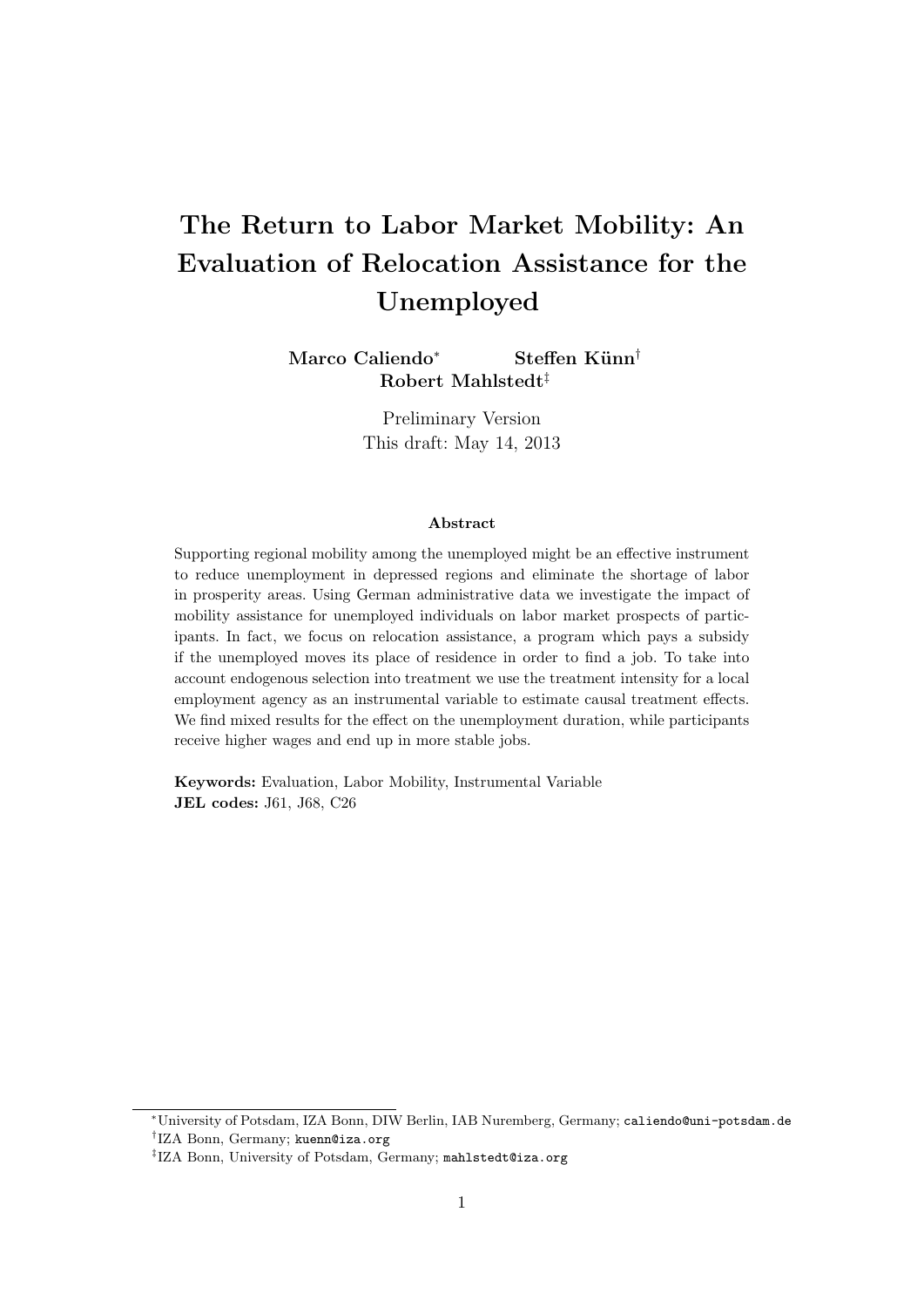# The Return to Labor Market Mobility: An Evaluation of Relocation Assistance for the Unemployed

Marco Caliendo<sup>\*</sup> Steffen Künn<sup>†</sup> Robert Mahlstedt‡

> Preliminary Version This draft: May 14, 2013

## Abstract

Supporting regional mobility among the unemployed might be an effective instrument to reduce unemployment in depressed regions and eliminate the shortage of labor in prosperity areas. Using German administrative data we investigate the impact of mobility assistance for unemployed individuals on labor market prospects of participants. In fact, we focus on relocation assistance, a program which pays a subsidy if the unemployed moves its place of residence in order to find a job. To take into account endogenous selection into treatment we use the treatment intensity for a local employment agency as an instrumental variable to estimate causal treatment effects. We find mixed results for the effect on the unemployment duration, while participants receive higher wages and end up in more stable jobs.

Keywords: Evaluation, Labor Mobility, Instrumental Variable JEL codes: J61, J68, C26

<sup>∗</sup>University of Potsdam, IZA Bonn, DIW Berlin, IAB Nuremberg, Germany; caliendo@uni-potsdam.de † IZA Bonn, Germany; kuenn@iza.org

<sup>‡</sup> IZA Bonn, University of Potsdam, Germany; mahlstedt@iza.org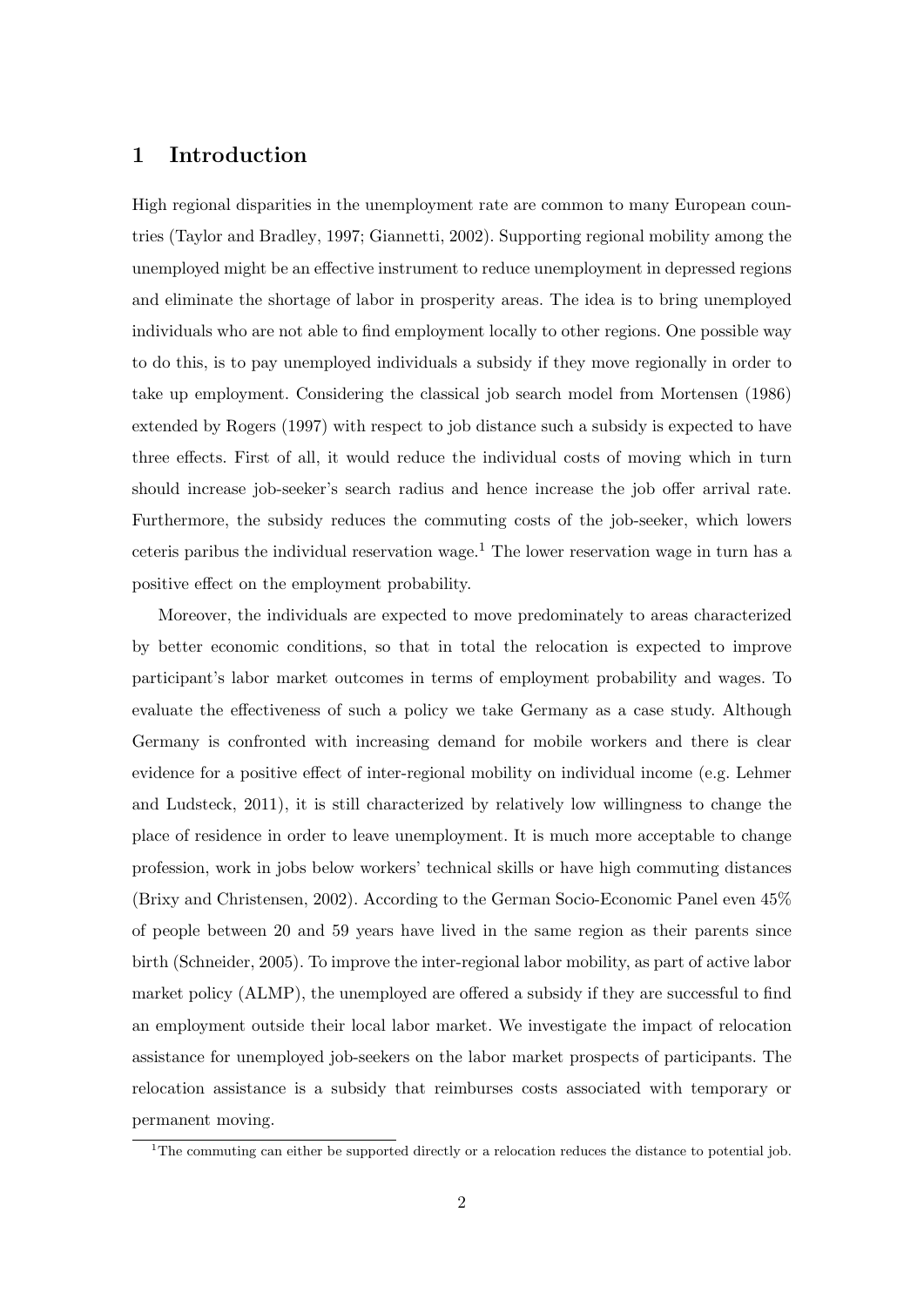# 1 Introduction

High regional disparities in the unemployment rate are common to many European countries (Taylor and Bradley, 1997; Giannetti, 2002). Supporting regional mobility among the unemployed might be an effective instrument to reduce unemployment in depressed regions and eliminate the shortage of labor in prosperity areas. The idea is to bring unemployed individuals who are not able to find employment locally to other regions. One possible way to do this, is to pay unemployed individuals a subsidy if they move regionally in order to take up employment. Considering the classical job search model from Mortensen (1986) extended by Rogers (1997) with respect to job distance such a subsidy is expected to have three effects. First of all, it would reduce the individual costs of moving which in turn should increase job-seeker's search radius and hence increase the job offer arrival rate. Furthermore, the subsidy reduces the commuting costs of the job-seeker, which lowers ceteris paribus the individual reservation wage.<sup>1</sup> The lower reservation wage in turn has a positive effect on the employment probability.

Moreover, the individuals are expected to move predominately to areas characterized by better economic conditions, so that in total the relocation is expected to improve participant's labor market outcomes in terms of employment probability and wages. To evaluate the effectiveness of such a policy we take Germany as a case study. Although Germany is confronted with increasing demand for mobile workers and there is clear evidence for a positive effect of inter-regional mobility on individual income (e.g. Lehmer and Ludsteck, 2011), it is still characterized by relatively low willingness to change the place of residence in order to leave unemployment. It is much more acceptable to change profession, work in jobs below workers' technical skills or have high commuting distances (Brixy and Christensen, 2002). According to the German Socio-Economic Panel even 45% of people between 20 and 59 years have lived in the same region as their parents since birth (Schneider, 2005). To improve the inter-regional labor mobility, as part of active labor market policy (ALMP), the unemployed are offered a subsidy if they are successful to find an employment outside their local labor market. We investigate the impact of relocation assistance for unemployed job-seekers on the labor market prospects of participants. The relocation assistance is a subsidy that reimburses costs associated with temporary or permanent moving.

<sup>&</sup>lt;sup>1</sup>The commuting can either be supported directly or a relocation reduces the distance to potential job.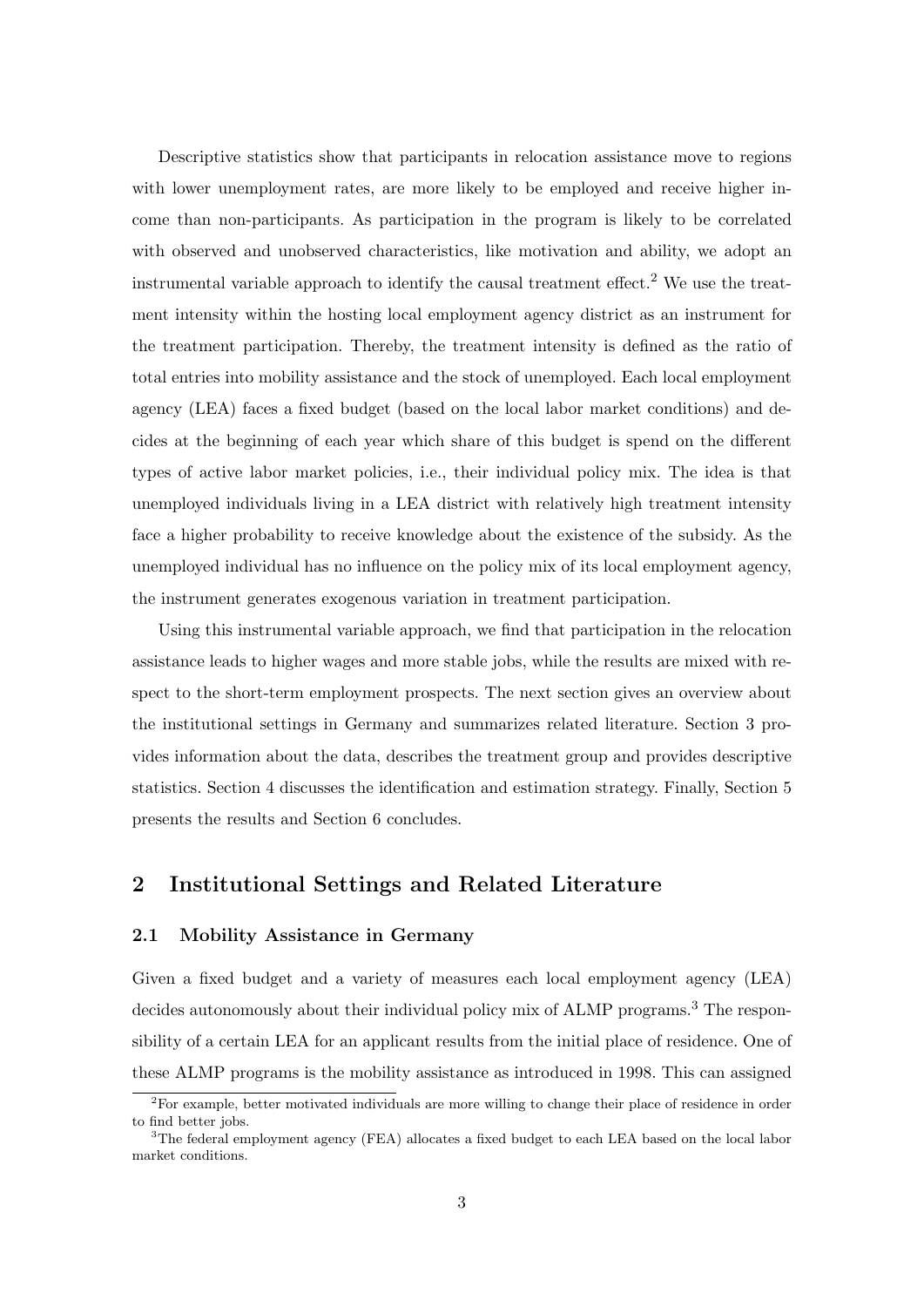Descriptive statistics show that participants in relocation assistance move to regions with lower unemployment rates, are more likely to be employed and receive higher income than non-participants. As participation in the program is likely to be correlated with observed and unobserved characteristics, like motivation and ability, we adopt an instrumental variable approach to identify the causal treatment effect.<sup>2</sup> We use the treatment intensity within the hosting local employment agency district as an instrument for the treatment participation. Thereby, the treatment intensity is defined as the ratio of total entries into mobility assistance and the stock of unemployed. Each local employment agency (LEA) faces a fixed budget (based on the local labor market conditions) and decides at the beginning of each year which share of this budget is spend on the different types of active labor market policies, i.e., their individual policy mix. The idea is that unemployed individuals living in a LEA district with relatively high treatment intensity face a higher probability to receive knowledge about the existence of the subsidy. As the unemployed individual has no influence on the policy mix of its local employment agency, the instrument generates exogenous variation in treatment participation.

Using this instrumental variable approach, we find that participation in the relocation assistance leads to higher wages and more stable jobs, while the results are mixed with respect to the short-term employment prospects. The next section gives an overview about the institutional settings in Germany and summarizes related literature. Section 3 provides information about the data, describes the treatment group and provides descriptive statistics. Section 4 discusses the identification and estimation strategy. Finally, Section 5 presents the results and Section 6 concludes.

# 2 Institutional Settings and Related Literature

## 2.1 Mobility Assistance in Germany

Given a fixed budget and a variety of measures each local employment agency (LEA) decides autonomously about their individual policy mix of ALMP programs.<sup>3</sup> The responsibility of a certain LEA for an applicant results from the initial place of residence. One of these ALMP programs is the mobility assistance as introduced in 1998. This can assigned

<sup>2</sup>For example, better motivated individuals are more willing to change their place of residence in order to find better jobs.

<sup>&</sup>lt;sup>3</sup>The federal employment agency (FEA) allocates a fixed budget to each LEA based on the local labor market conditions.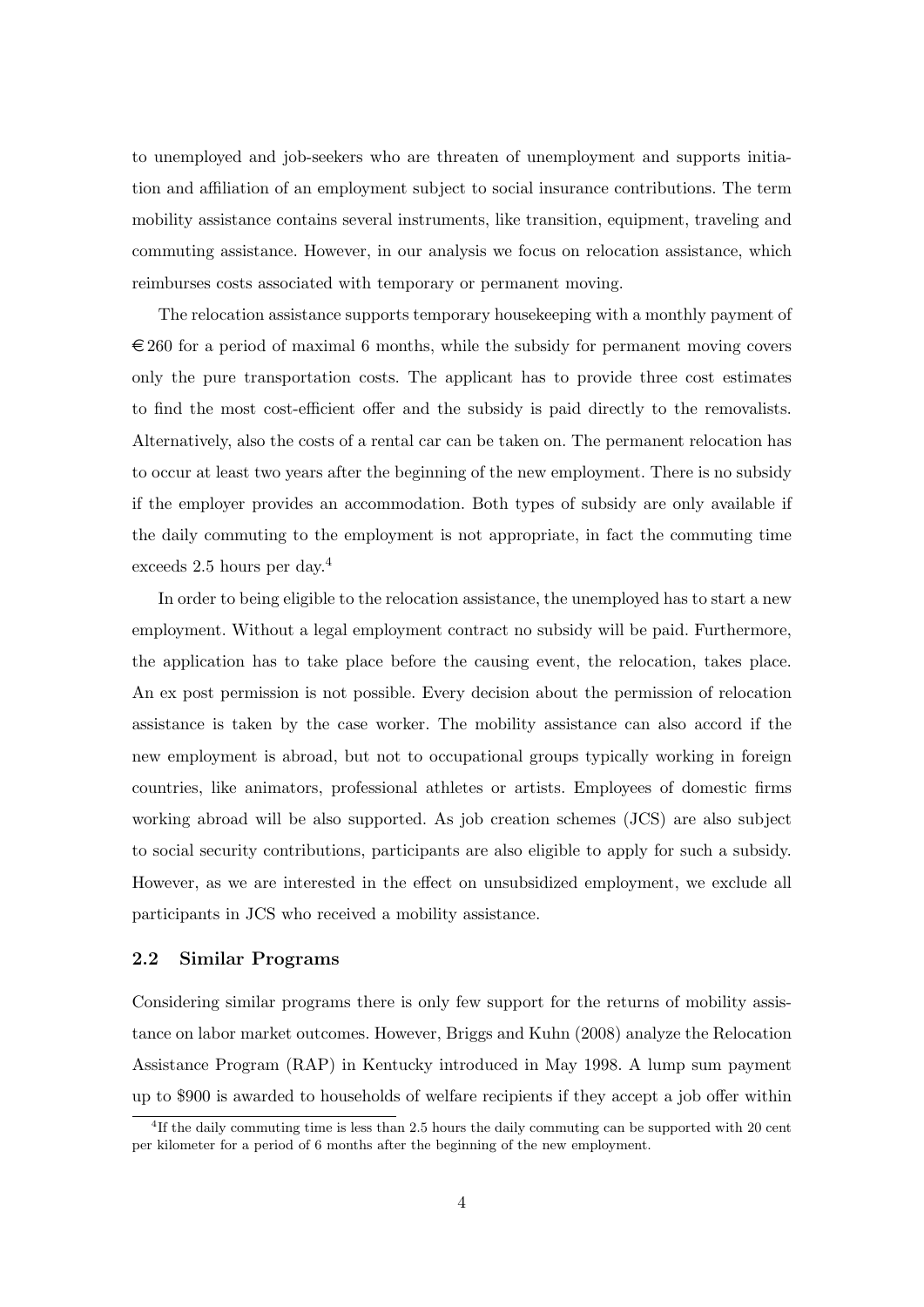to unemployed and job-seekers who are threaten of unemployment and supports initiation and affiliation of an employment subject to social insurance contributions. The term mobility assistance contains several instruments, like transition, equipment, traveling and commuting assistance. However, in our analysis we focus on relocation assistance, which reimburses costs associated with temporary or permanent moving.

The relocation assistance supports temporary housekeeping with a monthly payment of  $\epsilon$  260 for a period of maximal 6 months, while the subsidy for permanent moving covers only the pure transportation costs. The applicant has to provide three cost estimates to find the most cost-efficient offer and the subsidy is paid directly to the removalists. Alternatively, also the costs of a rental car can be taken on. The permanent relocation has to occur at least two years after the beginning of the new employment. There is no subsidy if the employer provides an accommodation. Both types of subsidy are only available if the daily commuting to the employment is not appropriate, in fact the commuting time exceeds 2.5 hours per day.<sup>4</sup>

In order to being eligible to the relocation assistance, the unemployed has to start a new employment. Without a legal employment contract no subsidy will be paid. Furthermore, the application has to take place before the causing event, the relocation, takes place. An ex post permission is not possible. Every decision about the permission of relocation assistance is taken by the case worker. The mobility assistance can also accord if the new employment is abroad, but not to occupational groups typically working in foreign countries, like animators, professional athletes or artists. Employees of domestic firms working abroad will be also supported. As job creation schemes (JCS) are also subject to social security contributions, participants are also eligible to apply for such a subsidy. However, as we are interested in the effect on unsubsidized employment, we exclude all participants in JCS who received a mobility assistance.

## 2.2 Similar Programs

Considering similar programs there is only few support for the returns of mobility assistance on labor market outcomes. However, Briggs and Kuhn (2008) analyze the Relocation Assistance Program (RAP) in Kentucky introduced in May 1998. A lump sum payment up to \$900 is awarded to households of welfare recipients if they accept a job offer within

<sup>4</sup> If the daily commuting time is less than 2.5 hours the daily commuting can be supported with 20 cent per kilometer for a period of 6 months after the beginning of the new employment.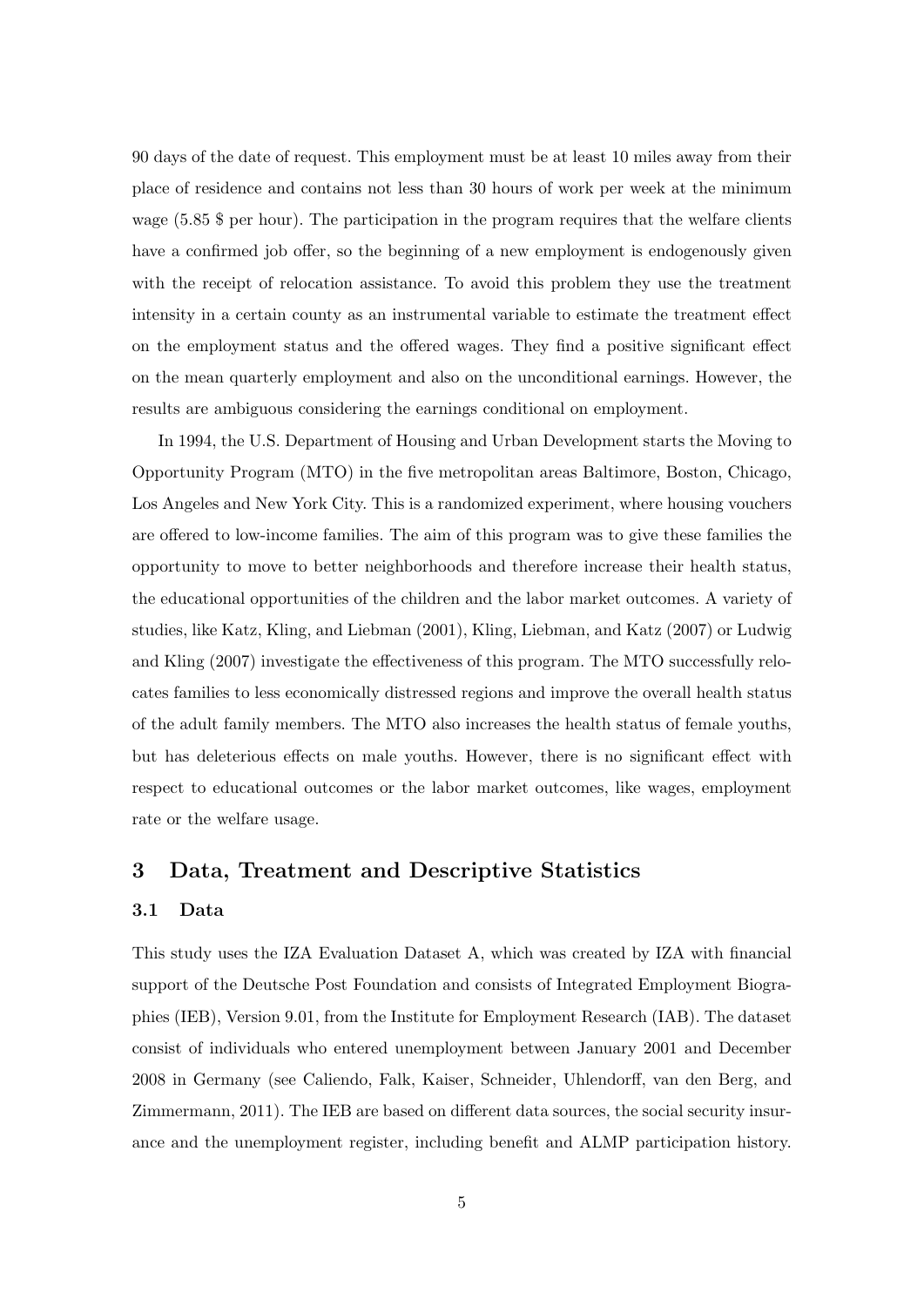90 days of the date of request. This employment must be at least 10 miles away from their place of residence and contains not less than 30 hours of work per week at the minimum wage (5.85 \$ per hour). The participation in the program requires that the welfare clients have a confirmed job offer, so the beginning of a new employment is endogenously given with the receipt of relocation assistance. To avoid this problem they use the treatment intensity in a certain county as an instrumental variable to estimate the treatment effect on the employment status and the offered wages. They find a positive significant effect on the mean quarterly employment and also on the unconditional earnings. However, the results are ambiguous considering the earnings conditional on employment.

In 1994, the U.S. Department of Housing and Urban Development starts the Moving to Opportunity Program (MTO) in the five metropolitan areas Baltimore, Boston, Chicago, Los Angeles and New York City. This is a randomized experiment, where housing vouchers are offered to low-income families. The aim of this program was to give these families the opportunity to move to better neighborhoods and therefore increase their health status, the educational opportunities of the children and the labor market outcomes. A variety of studies, like Katz, Kling, and Liebman (2001), Kling, Liebman, and Katz (2007) or Ludwig and Kling (2007) investigate the effectiveness of this program. The MTO successfully relocates families to less economically distressed regions and improve the overall health status of the adult family members. The MTO also increases the health status of female youths, but has deleterious effects on male youths. However, there is no significant effect with respect to educational outcomes or the labor market outcomes, like wages, employment rate or the welfare usage.

# 3 Data, Treatment and Descriptive Statistics

## 3.1 Data

This study uses the IZA Evaluation Dataset A, which was created by IZA with financial support of the Deutsche Post Foundation and consists of Integrated Employment Biographies (IEB), Version 9.01, from the Institute for Employment Research (IAB). The dataset consist of individuals who entered unemployment between January 2001 and December 2008 in Germany (see Caliendo, Falk, Kaiser, Schneider, Uhlendorff, van den Berg, and Zimmermann, 2011). The IEB are based on different data sources, the social security insurance and the unemployment register, including benefit and ALMP participation history.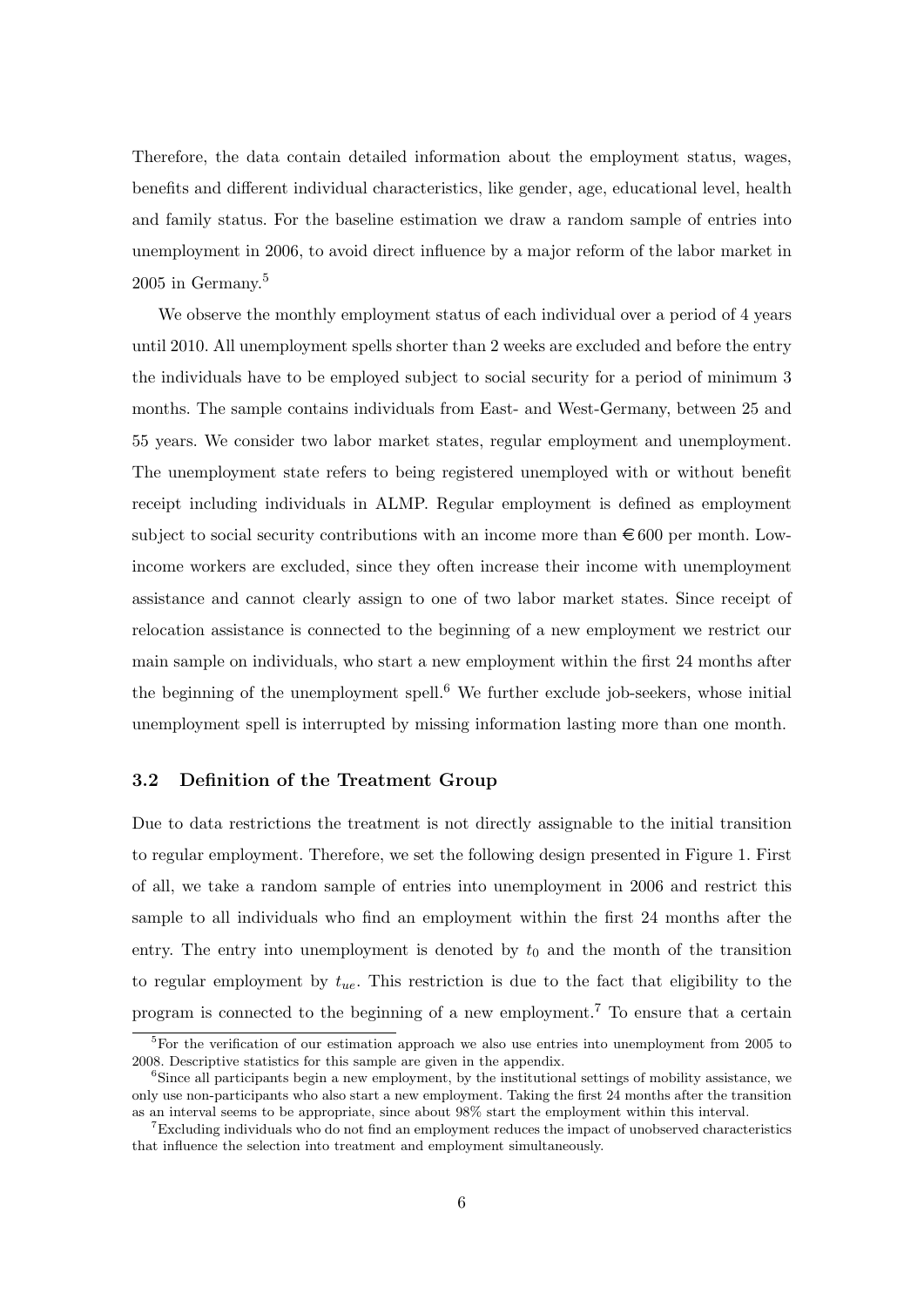Therefore, the data contain detailed information about the employment status, wages, benefits and different individual characteristics, like gender, age, educational level, health and family status. For the baseline estimation we draw a random sample of entries into unemployment in 2006, to avoid direct influence by a major reform of the labor market in  $2005$  in Germany.<sup>5</sup>

We observe the monthly employment status of each individual over a period of 4 years until 2010. All unemployment spells shorter than 2 weeks are excluded and before the entry the individuals have to be employed subject to social security for a period of minimum 3 months. The sample contains individuals from East- and West-Germany, between 25 and 55 years. We consider two labor market states, regular employment and unemployment. The unemployment state refers to being registered unemployed with or without benefit receipt including individuals in ALMP. Regular employment is defined as employment subject to social security contributions with an income more than  $\epsilon$  600 per month. Lowincome workers are excluded, since they often increase their income with unemployment assistance and cannot clearly assign to one of two labor market states. Since receipt of relocation assistance is connected to the beginning of a new employment we restrict our main sample on individuals, who start a new employment within the first 24 months after the beginning of the unemployment spell.<sup>6</sup> We further exclude job-seekers, whose initial unemployment spell is interrupted by missing information lasting more than one month.

#### 3.2 Definition of the Treatment Group

Due to data restrictions the treatment is not directly assignable to the initial transition to regular employment. Therefore, we set the following design presented in Figure 1. First of all, we take a random sample of entries into unemployment in 2006 and restrict this sample to all individuals who find an employment within the first 24 months after the entry. The entry into unemployment is denoted by  $t_0$  and the month of the transition to regular employment by  $t_{ue}$ . This restriction is due to the fact that eligibility to the program is connected to the beginning of a new employment.<sup>7</sup> To ensure that a certain

 ${}^{5}$ For the verification of our estimation approach we also use entries into unemployment from 2005 to 2008. Descriptive statistics for this sample are given in the appendix.

<sup>&</sup>lt;sup>6</sup>Since all participants begin a new employment, by the institutional settings of mobility assistance, we only use non-participants who also start a new employment. Taking the first 24 months after the transition as an interval seems to be appropriate, since about 98% start the employment within this interval.

<sup>7</sup>Excluding individuals who do not find an employment reduces the impact of unobserved characteristics that influence the selection into treatment and employment simultaneously.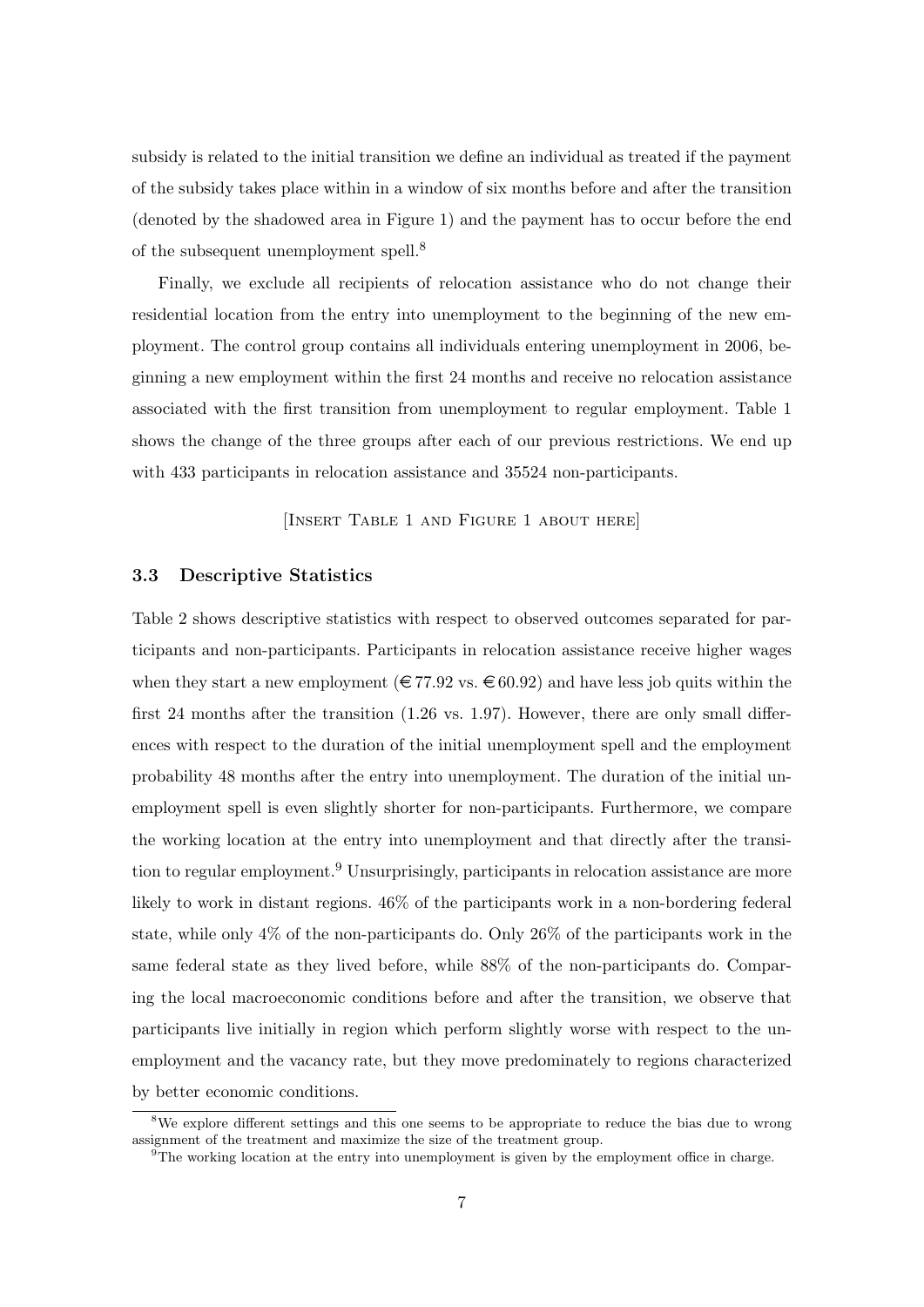subsidy is related to the initial transition we define an individual as treated if the payment of the subsidy takes place within in a window of six months before and after the transition (denoted by the shadowed area in Figure 1) and the payment has to occur before the end of the subsequent unemployment spell.<sup>8</sup>

Finally, we exclude all recipients of relocation assistance who do not change their residential location from the entry into unemployment to the beginning of the new employment. The control group contains all individuals entering unemployment in 2006, beginning a new employment within the first 24 months and receive no relocation assistance associated with the first transition from unemployment to regular employment. Table 1 shows the change of the three groups after each of our previous restrictions. We end up with 433 participants in relocation assistance and 35524 non-participants.

[Insert Table 1 and Figure 1 about here]

## 3.3 Descriptive Statistics

Table 2 shows descriptive statistics with respect to observed outcomes separated for participants and non-participants. Participants in relocation assistance receive higher wages when they start a new employment ( $\in 77.92$  vs.  $\in 60.92$ ) and have less job quits within the first 24 months after the transition (1.26 vs. 1.97). However, there are only small differences with respect to the duration of the initial unemployment spell and the employment probability 48 months after the entry into unemployment. The duration of the initial unemployment spell is even slightly shorter for non-participants. Furthermore, we compare the working location at the entry into unemployment and that directly after the transition to regular employment.<sup>9</sup> Unsurprisingly, participants in relocation assistance are more likely to work in distant regions. 46% of the participants work in a non-bordering federal state, while only 4% of the non-participants do. Only 26% of the participants work in the same federal state as they lived before, while 88% of the non-participants do. Comparing the local macroeconomic conditions before and after the transition, we observe that participants live initially in region which perform slightly worse with respect to the unemployment and the vacancy rate, but they move predominately to regions characterized by better economic conditions.

<sup>&</sup>lt;sup>8</sup>We explore different settings and this one seems to be appropriate to reduce the bias due to wrong assignment of the treatment and maximize the size of the treatment group.

 $\sqrt[9]{\text{The working location at the entry into unemptyment is given by the employment office in charge.}$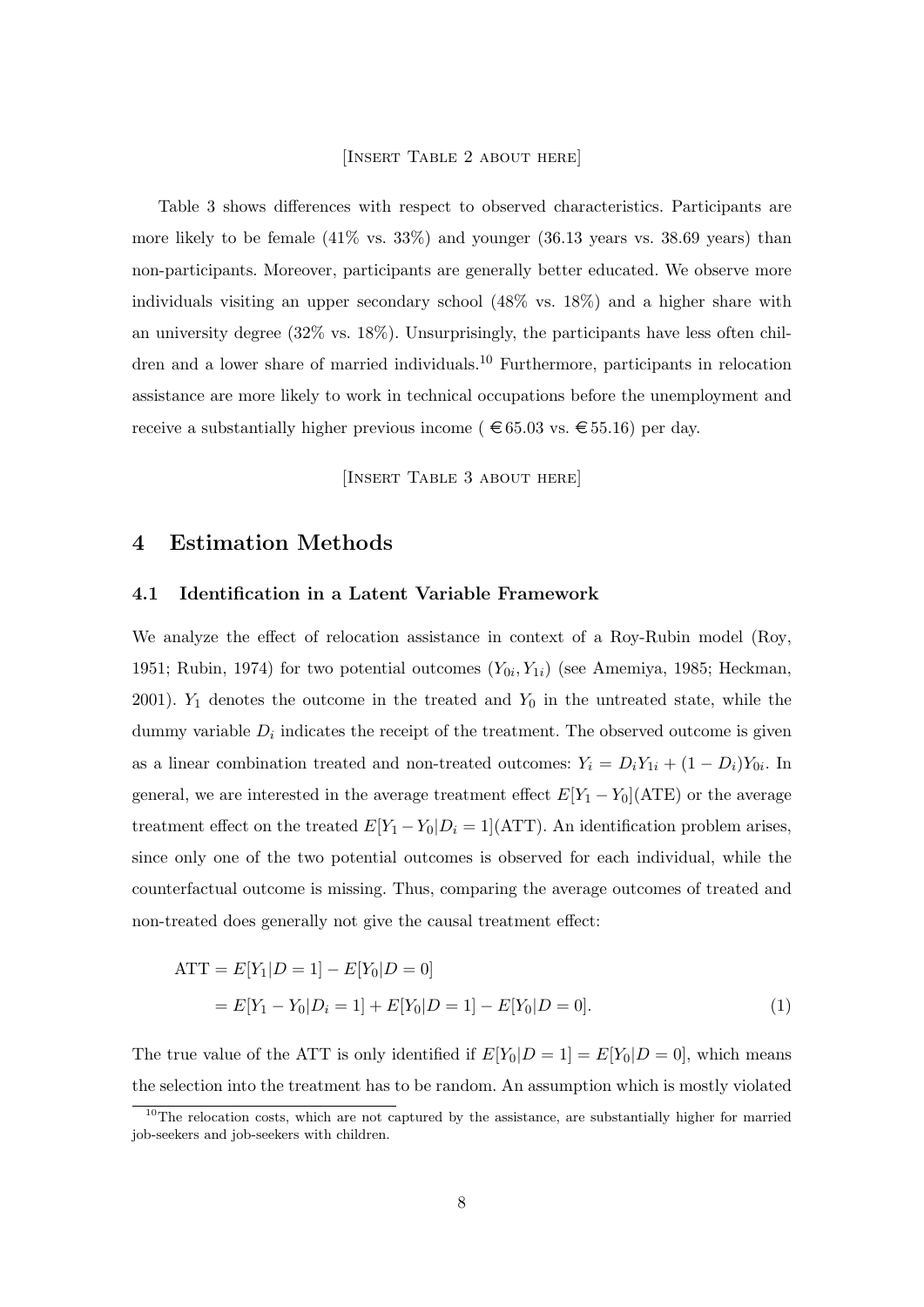#### [Insert Table 2 about here]

Table 3 shows differences with respect to observed characteristics. Participants are more likely to be female  $(41\% \text{ vs. } 33\%)$  and younger  $(36.13 \text{ years vs. } 38.69 \text{ years})$  than non-participants. Moreover, participants are generally better educated. We observe more individuals visiting an upper secondary school (48% vs. 18%) and a higher share with an university degree (32% vs. 18%). Unsurprisingly, the participants have less often children and a lower share of married individuals.<sup>10</sup> Furthermore, participants in relocation assistance are more likely to work in technical occupations before the unemployment and receive a substantially higher previous income ( $\epsilon$  65.03 vs.  $\epsilon$  55.16) per day.

[INSERT TABLE 3 ABOUT HERE]

# 4 Estimation Methods

#### 4.1 Identification in a Latent Variable Framework

We analyze the effect of relocation assistance in context of a Roy-Rubin model (Roy, 1951; Rubin, 1974) for two potential outcomes  $(Y_{0i}, Y_{1i})$  (see Amemiya, 1985; Heckman, 2001).  $Y_1$  denotes the outcome in the treated and  $Y_0$  in the untreated state, while the dummy variable  $D_i$  indicates the receipt of the treatment. The observed outcome is given as a linear combination treated and non-treated outcomes:  $Y_i = D_i Y_{1i} + (1 - D_i) Y_{0i}$ . In general, we are interested in the average treatment effect  $E[Y_1 - Y_0](\text{ATE})$  or the average treatment effect on the treated  $E[Y_1 - Y_0 | D_i = 1](ATT)$ . An identification problem arises, since only one of the two potential outcomes is observed for each individual, while the counterfactual outcome is missing. Thus, comparing the average outcomes of treated and non-treated does generally not give the causal treatment effect:

$$
\begin{aligned} \text{ATT} &= E[Y_1|D=1] - E[Y_0|D=0] \\ &= E[Y_1 - Y_0|D_i=1] + E[Y_0|D=1] - E[Y_0|D=0]. \end{aligned} \tag{1}
$$

The true value of the ATT is only identified if  $E[Y_0|D=1] = E[Y_0|D=0]$ , which means the selection into the treatment has to be random. An assumption which is mostly violated

<sup>&</sup>lt;sup>10</sup>The relocation costs, which are not captured by the assistance, are substantially higher for married job-seekers and job-seekers with children.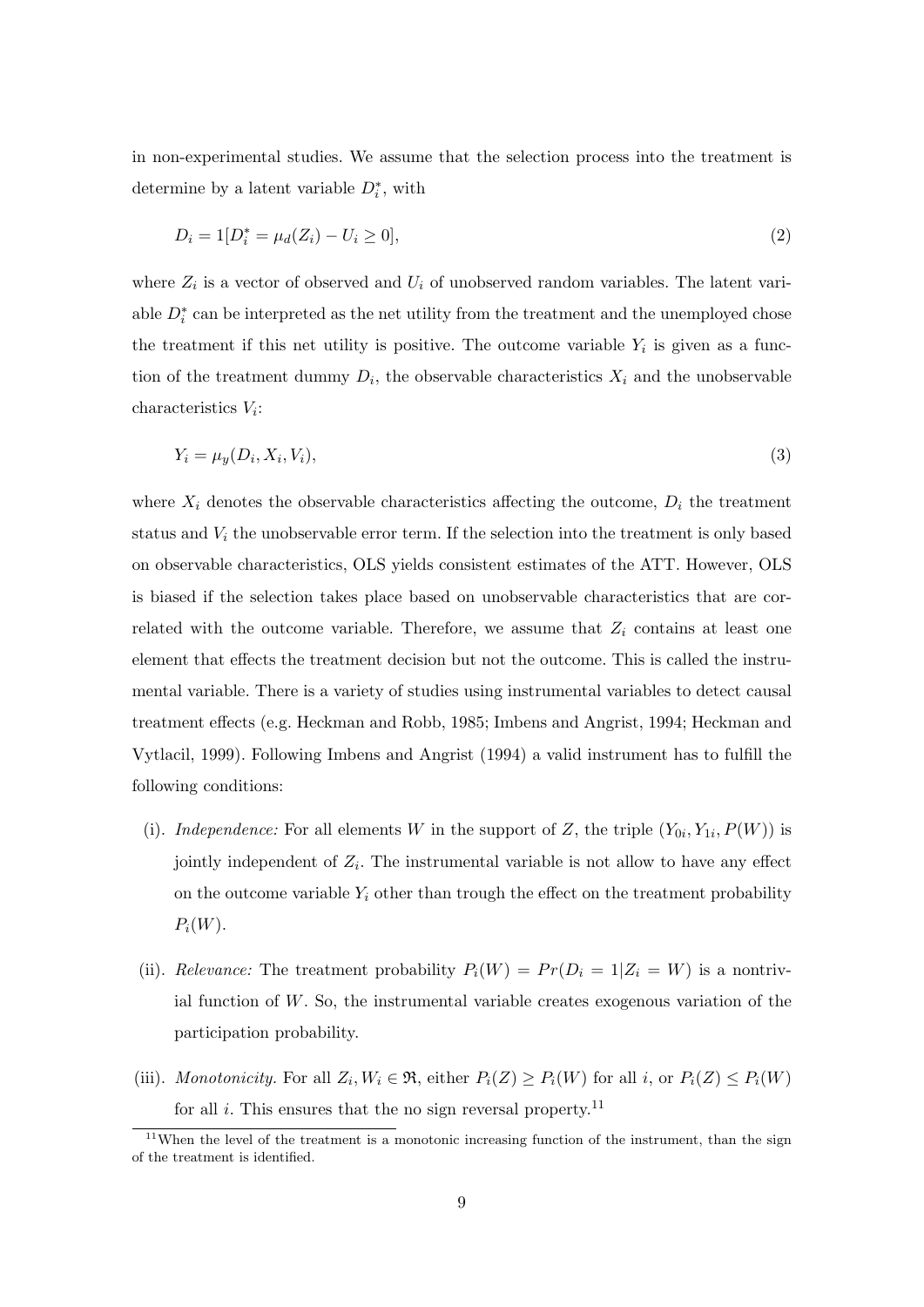in non-experimental studies. We assume that the selection process into the treatment is determine by a latent variable  $D_i^*$ , with

$$
D_i = 1[D_i^* = \mu_d(Z_i) - U_i \ge 0],\tag{2}
$$

where  $Z_i$  is a vector of observed and  $U_i$  of unobserved random variables. The latent variable  $D_i^*$  can be interpreted as the net utility from the treatment and the unemployed chose the treatment if this net utility is positive. The outcome variable  $Y_i$  is given as a function of the treatment dummy  $D_i$ , the observable characteristics  $X_i$  and the unobservable  $\alpha$ characteristics  $V_i$ :

$$
Y_i = \mu_y(D_i, X_i, V_i),\tag{3}
$$

where  $X_i$  denotes the observable characteristics affecting the outcome,  $D_i$  the treatment status and  $V_i$  the unobservable error term. If the selection into the treatment is only based on observable characteristics, OLS yields consistent estimates of the ATT. However, OLS is biased if the selection takes place based on unobservable characteristics that are correlated with the outcome variable. Therefore, we assume that  $Z_i$  contains at least one element that effects the treatment decision but not the outcome. This is called the instrumental variable. There is a variety of studies using instrumental variables to detect causal treatment effects (e.g. Heckman and Robb, 1985; Imbens and Angrist, 1994; Heckman and Vytlacil, 1999). Following Imbens and Angrist (1994) a valid instrument has to fulfill the following conditions:

- (i). Independence: For all elements W in the support of Z, the triple  $(Y_{0i}, Y_{1i}, P(W))$  is jointly independent of  $Z_i$ . The instrumental variable is not allow to have any effect on the outcome variable  $Y_i$  other than trough the effect on the treatment probability  $P_i(W)$ .
- (ii). Relevance: The treatment probability  $P_i(W) = Pr(D_i = 1 | Z_i = W)$  is a nontrivial function of  $W$ . So, the instrumental variable creates exogenous variation of the participation probability.
- (iii). Monotonicity. For all  $Z_i, W_i \in \mathfrak{R}$ , either  $P_i(Z) \geq P_i(W)$  for all i, or  $P_i(Z) \leq P_i(W)$ for all  $i$ . This ensures that the no sign reversal property.<sup>11</sup>

 $11$ When the level of the treatment is a monotonic increasing function of the instrument, than the sign of the treatment is identified.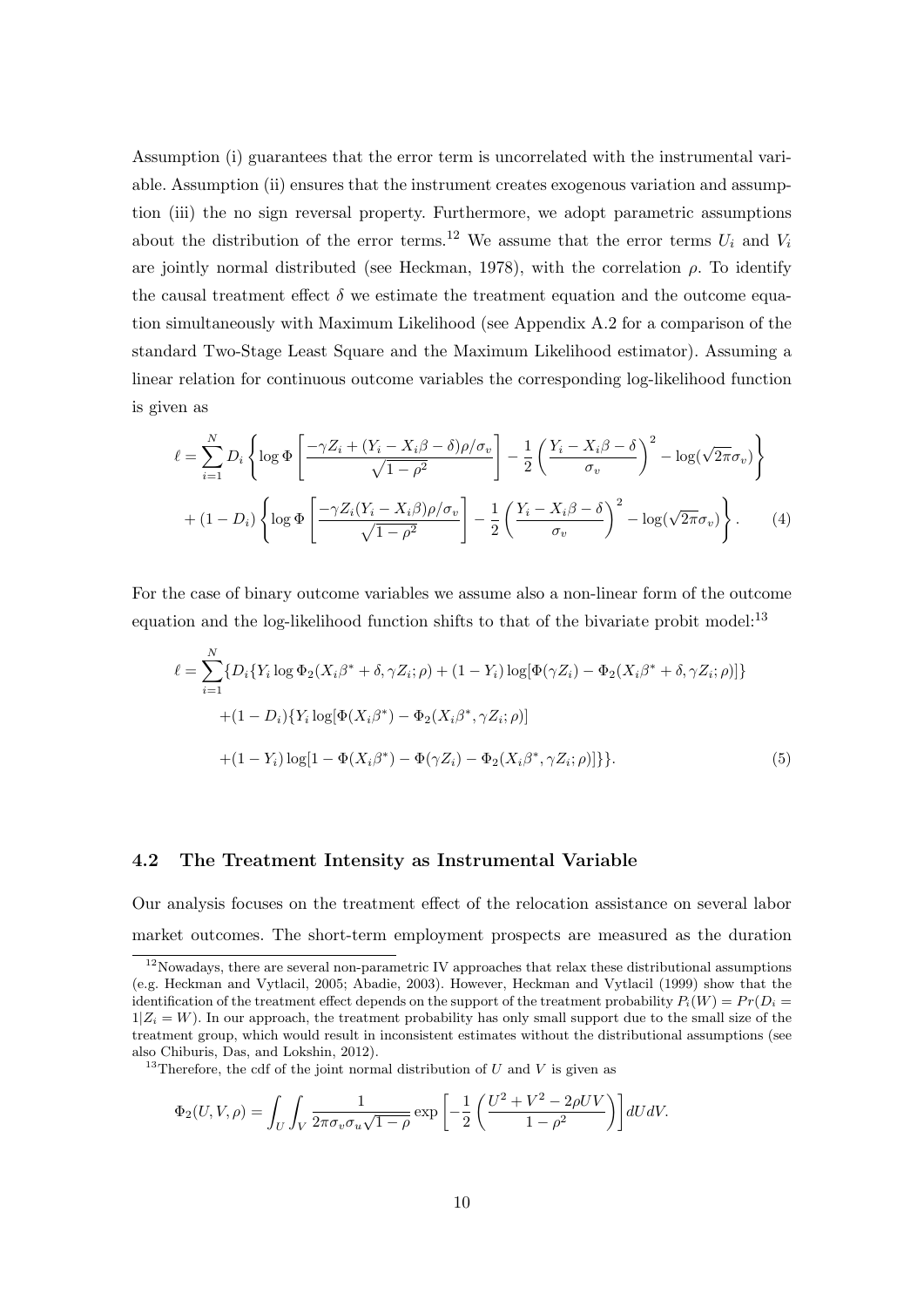Assumption (i) guarantees that the error term is uncorrelated with the instrumental variable. Assumption (ii) ensures that the instrument creates exogenous variation and assumption (iii) the no sign reversal property. Furthermore, we adopt parametric assumptions about the distribution of the error terms.<sup>12</sup> We assume that the error terms  $U_i$  and  $V_i$ are jointly normal distributed (see Heckman, 1978), with the correlation  $\rho$ . To identify the causal treatment effect  $\delta$  we estimate the treatment equation and the outcome equation simultaneously with Maximum Likelihood (see Appendix A.2 for a comparison of the standard Two-Stage Least Square and the Maximum Likelihood estimator). Assuming a linear relation for continuous outcome variables the corresponding log-likelihood function is given as

$$
\ell = \sum_{i=1}^{N} D_i \left\{ \log \Phi \left[ \frac{-\gamma Z_i + (Y_i - X_i \beta - \delta) \rho / \sigma_v}{\sqrt{1 - \rho^2}} \right] - \frac{1}{2} \left( \frac{Y_i - X_i \beta - \delta}{\sigma_v} \right)^2 - \log(\sqrt{2\pi} \sigma_v) \right\}
$$

$$
+ (1 - D_i) \left\{ \log \Phi \left[ \frac{-\gamma Z_i (Y_i - X_i \beta) \rho / \sigma_v}{\sqrt{1 - \rho^2}} \right] - \frac{1}{2} \left( \frac{Y_i - X_i \beta - \delta}{\sigma_v} \right)^2 - \log(\sqrt{2\pi} \sigma_v) \right\}. \tag{4}
$$

For the case of binary outcome variables we assume also a non-linear form of the outcome equation and the log-likelihood function shifts to that of the bivariate probit model: $^{13}$ 

$$
\ell = \sum_{i=1}^{N} \{D_i \{ Y_i \log \Phi_2(X_i \beta^* + \delta, \gamma Z_i; \rho) + (1 - Y_i) \log [\Phi(\gamma Z_i) - \Phi_2(X_i \beta^* + \delta, \gamma Z_i; \rho)] \} + (1 - D_i) \{ Y_i \log [\Phi(X_i \beta^*) - \Phi_2(X_i \beta^*, \gamma Z_i; \rho)] \} + (1 - Y_i) \log [1 - \Phi(X_i \beta^*) - \Phi(\gamma Z_i) - \Phi_2(X_i \beta^*, \gamma Z_i; \rho)] \}.
$$
\n(5)

## 4.2 The Treatment Intensity as Instrumental Variable

Our analysis focuses on the treatment effect of the relocation assistance on several labor market outcomes. The short-term employment prospects are measured as the duration

$$
\Phi_2(U, V, \rho) = \int_U \int_V \frac{1}{2\pi \sigma_v \sigma_u \sqrt{1-\rho}} \exp\left[-\frac{1}{2}\left(\frac{U^2 + V^2 - 2\rho UV}{1-\rho^2}\right)\right] dU dV.
$$

 $12$ Nowadays, there are several non-parametric IV approaches that relax these distributional assumptions (e.g. Heckman and Vytlacil, 2005; Abadie, 2003). However, Heckman and Vytlacil (1999) show that the identification of the treatment effect depends on the support of the treatment probability  $P_i(W) = Pr(D_i =$  $1|Z_i = W$ ). In our approach, the treatment probability has only small support due to the small size of the treatment group, which would result in inconsistent estimates without the distributional assumptions (see also Chiburis, Das, and Lokshin, 2012).

<sup>&</sup>lt;sup>13</sup>Therefore, the cdf of the joint normal distribution of U and V is given as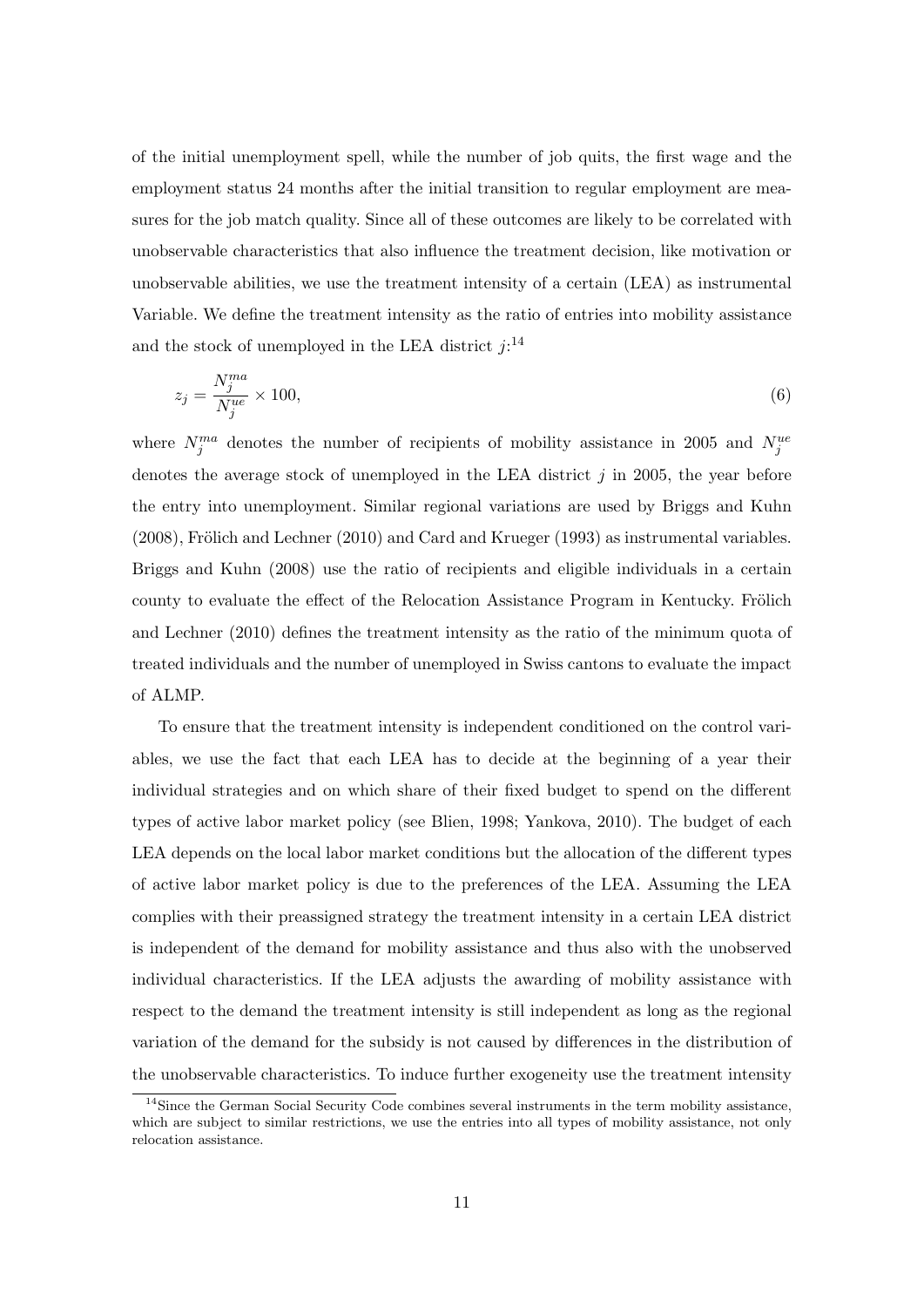of the initial unemployment spell, while the number of job quits, the first wage and the employment status 24 months after the initial transition to regular employment are measures for the job match quality. Since all of these outcomes are likely to be correlated with unobservable characteristics that also influence the treatment decision, like motivation or unobservable abilities, we use the treatment intensity of a certain (LEA) as instrumental Variable. We define the treatment intensity as the ratio of entries into mobility assistance and the stock of unemployed in the LEA district  $j:$ <sup>14</sup>

$$
z_j = \frac{N_j^{ma}}{N_j^{ue}} \times 100,\tag{6}
$$

where  $N_j^{ma}$  denotes the number of recipients of mobility assistance in 2005 and  $N_j^{ue}$ denotes the average stock of unemployed in the LEA district  $j$  in 2005, the year before the entry into unemployment. Similar regional variations are used by Briggs and Kuhn  $(2008)$ , Frölich and Lechner  $(2010)$  and Card and Krueger  $(1993)$  as instrumental variables. Briggs and Kuhn (2008) use the ratio of recipients and eligible individuals in a certain county to evaluate the effect of the Relocation Assistance Program in Kentucky. Frölich and Lechner (2010) defines the treatment intensity as the ratio of the minimum quota of treated individuals and the number of unemployed in Swiss cantons to evaluate the impact of ALMP.

To ensure that the treatment intensity is independent conditioned on the control variables, we use the fact that each LEA has to decide at the beginning of a year their individual strategies and on which share of their fixed budget to spend on the different types of active labor market policy (see Blien, 1998; Yankova, 2010). The budget of each LEA depends on the local labor market conditions but the allocation of the different types of active labor market policy is due to the preferences of the LEA. Assuming the LEA complies with their preassigned strategy the treatment intensity in a certain LEA district is independent of the demand for mobility assistance and thus also with the unobserved individual characteristics. If the LEA adjusts the awarding of mobility assistance with respect to the demand the treatment intensity is still independent as long as the regional variation of the demand for the subsidy is not caused by differences in the distribution of the unobservable characteristics. To induce further exogeneity use the treatment intensity

<sup>&</sup>lt;sup>14</sup>Since the German Social Security Code combines several instruments in the term mobility assistance, which are subject to similar restrictions, we use the entries into all types of mobility assistance, not only relocation assistance.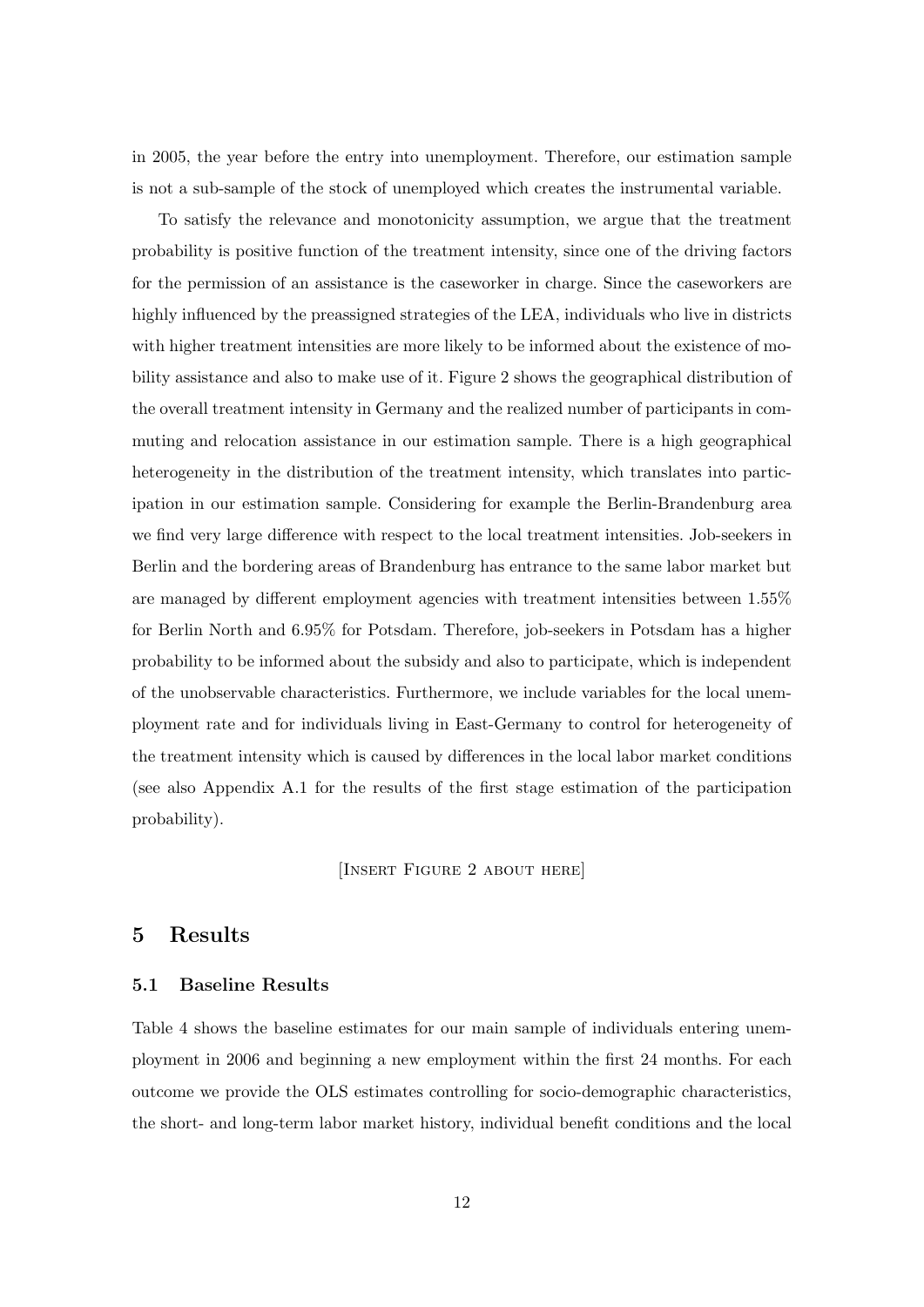in 2005, the year before the entry into unemployment. Therefore, our estimation sample is not a sub-sample of the stock of unemployed which creates the instrumental variable.

To satisfy the relevance and monotonicity assumption, we argue that the treatment probability is positive function of the treatment intensity, since one of the driving factors for the permission of an assistance is the caseworker in charge. Since the caseworkers are highly influenced by the preassigned strategies of the LEA, individuals who live in districts with higher treatment intensities are more likely to be informed about the existence of mobility assistance and also to make use of it. Figure 2 shows the geographical distribution of the overall treatment intensity in Germany and the realized number of participants in commuting and relocation assistance in our estimation sample. There is a high geographical heterogeneity in the distribution of the treatment intensity, which translates into participation in our estimation sample. Considering for example the Berlin-Brandenburg area we find very large difference with respect to the local treatment intensities. Job-seekers in Berlin and the bordering areas of Brandenburg has entrance to the same labor market but are managed by different employment agencies with treatment intensities between 1.55% for Berlin North and 6.95% for Potsdam. Therefore, job-seekers in Potsdam has a higher probability to be informed about the subsidy and also to participate, which is independent of the unobservable characteristics. Furthermore, we include variables for the local unemployment rate and for individuals living in East-Germany to control for heterogeneity of the treatment intensity which is caused by differences in the local labor market conditions (see also Appendix A.1 for the results of the first stage estimation of the participation probability).

[Insert Figure 2 about here]

# 5 Results

# 5.1 Baseline Results

Table 4 shows the baseline estimates for our main sample of individuals entering unemployment in 2006 and beginning a new employment within the first 24 months. For each outcome we provide the OLS estimates controlling for socio-demographic characteristics, the short- and long-term labor market history, individual benefit conditions and the local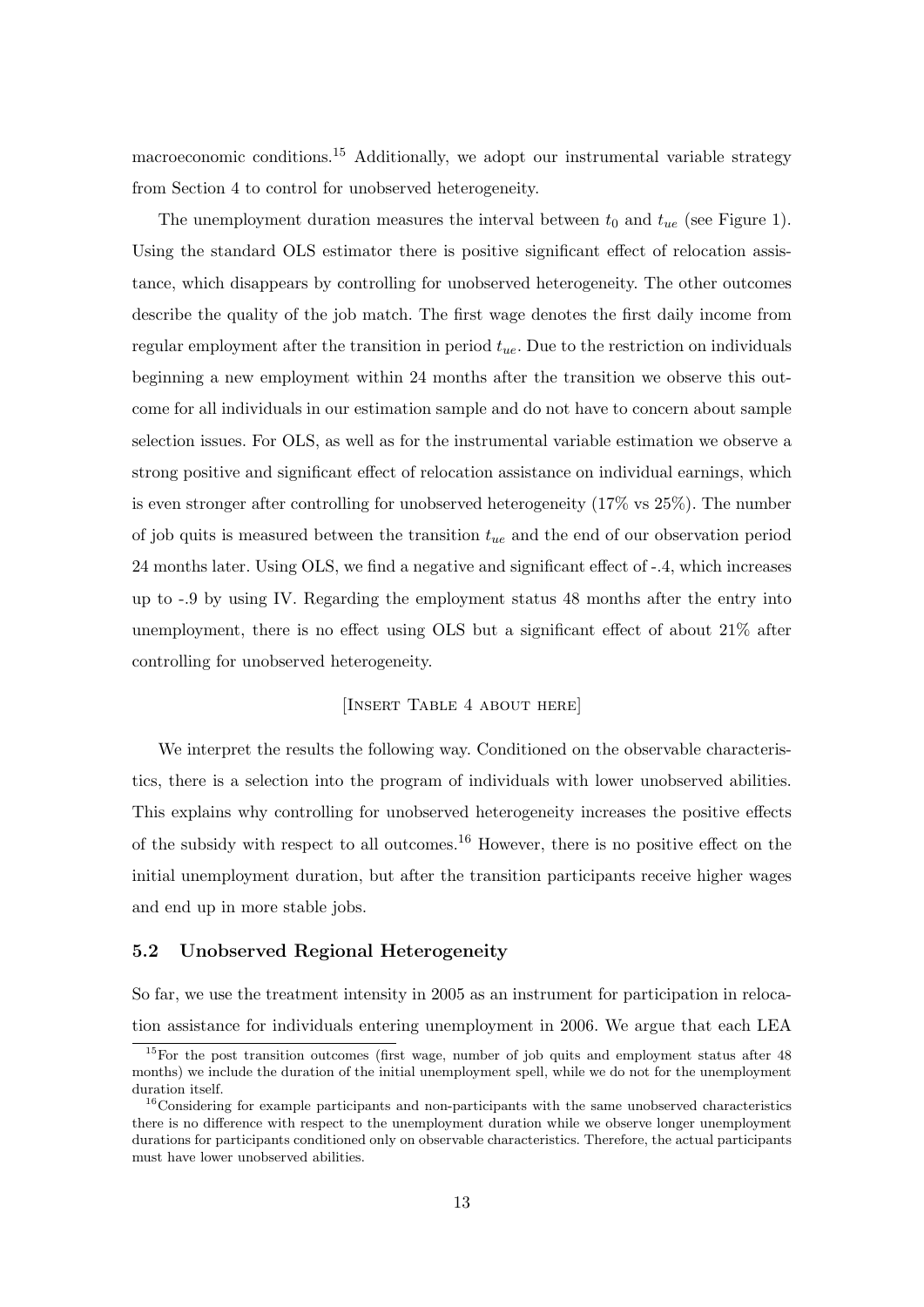macroeconomic conditions.<sup>15</sup> Additionally, we adopt our instrumental variable strategy from Section 4 to control for unobserved heterogeneity.

The unemployment duration measures the interval between  $t_0$  and  $t_{ue}$  (see Figure 1). Using the standard OLS estimator there is positive significant effect of relocation assistance, which disappears by controlling for unobserved heterogeneity. The other outcomes describe the quality of the job match. The first wage denotes the first daily income from regular employment after the transition in period  $t_{ue}$ . Due to the restriction on individuals beginning a new employment within 24 months after the transition we observe this outcome for all individuals in our estimation sample and do not have to concern about sample selection issues. For OLS, as well as for the instrumental variable estimation we observe a strong positive and significant effect of relocation assistance on individual earnings, which is even stronger after controlling for unobserved heterogeneity (17% vs 25%). The number of job quits is measured between the transition  $t_{ue}$  and the end of our observation period 24 months later. Using OLS, we find a negative and significant effect of -.4, which increases up to -.9 by using IV. Regarding the employment status 48 months after the entry into unemployment, there is no effect using OLS but a significant effect of about 21% after controlling for unobserved heterogeneity.

## [Insert Table 4 about here]

We interpret the results the following way. Conditioned on the observable characteristics, there is a selection into the program of individuals with lower unobserved abilities. This explains why controlling for unobserved heterogeneity increases the positive effects of the subsidy with respect to all outcomes.<sup>16</sup> However, there is no positive effect on the initial unemployment duration, but after the transition participants receive higher wages and end up in more stable jobs.

#### 5.2 Unobserved Regional Heterogeneity

So far, we use the treatment intensity in 2005 as an instrument for participation in relocation assistance for individuals entering unemployment in 2006. We argue that each LEA

<sup>&</sup>lt;sup>15</sup>For the post transition outcomes (first wage, number of job quits and employment status after 48 months) we include the duration of the initial unemployment spell, while we do not for the unemployment duration itself.

 $16$ Considering for example participants and non-participants with the same unobserved characteristics there is no difference with respect to the unemployment duration while we observe longer unemployment durations for participants conditioned only on observable characteristics. Therefore, the actual participants must have lower unobserved abilities.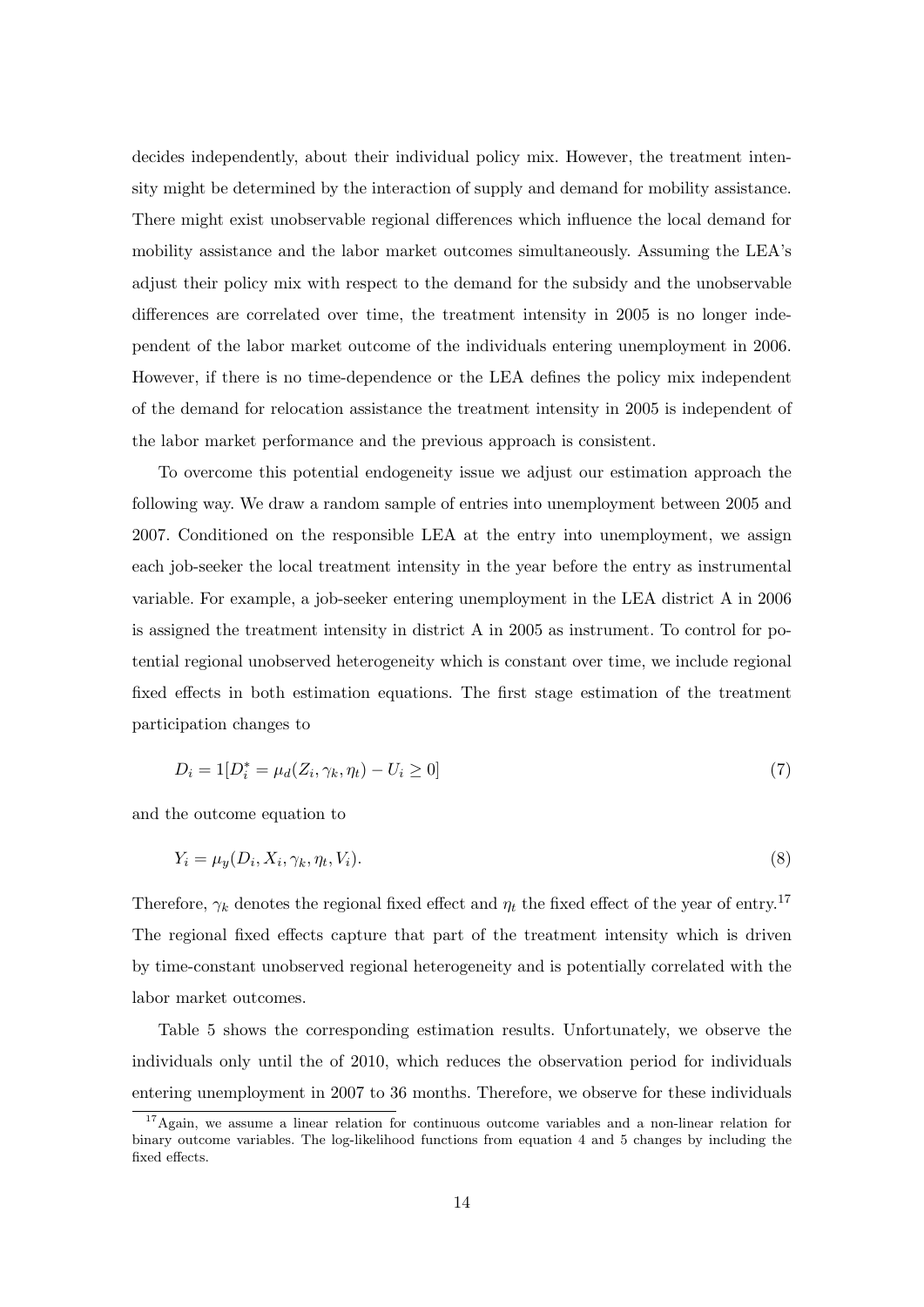decides independently, about their individual policy mix. However, the treatment intensity might be determined by the interaction of supply and demand for mobility assistance. There might exist unobservable regional differences which influence the local demand for mobility assistance and the labor market outcomes simultaneously. Assuming the LEA's adjust their policy mix with respect to the demand for the subsidy and the unobservable differences are correlated over time, the treatment intensity in 2005 is no longer independent of the labor market outcome of the individuals entering unemployment in 2006. However, if there is no time-dependence or the LEA defines the policy mix independent of the demand for relocation assistance the treatment intensity in 2005 is independent of the labor market performance and the previous approach is consistent.

To overcome this potential endogeneity issue we adjust our estimation approach the following way. We draw a random sample of entries into unemployment between 2005 and 2007. Conditioned on the responsible LEA at the entry into unemployment, we assign each job-seeker the local treatment intensity in the year before the entry as instrumental variable. For example, a job-seeker entering unemployment in the LEA district A in 2006 is assigned the treatment intensity in district A in 2005 as instrument. To control for potential regional unobserved heterogeneity which is constant over time, we include regional fixed effects in both estimation equations. The first stage estimation of the treatment participation changes to

$$
D_i = 1[D_i^* = \mu_d(Z_i, \gamma_k, \eta_t) - U_i \ge 0]
$$
\n(7)

and the outcome equation to

$$
Y_i = \mu_y(D_i, X_i, \gamma_k, \eta_t, V_i). \tag{8}
$$

Therefore,  $\gamma_k$  denotes the regional fixed effect and  $\eta_t$  the fixed effect of the year of entry.<sup>17</sup> The regional fixed effects capture that part of the treatment intensity which is driven by time-constant unobserved regional heterogeneity and is potentially correlated with the labor market outcomes.

Table 5 shows the corresponding estimation results. Unfortunately, we observe the individuals only until the of 2010, which reduces the observation period for individuals entering unemployment in 2007 to 36 months. Therefore, we observe for these individuals

<sup>17</sup>Again, we assume a linear relation for continuous outcome variables and a non-linear relation for binary outcome variables. The log-likelihood functions from equation 4 and 5 changes by including the fixed effects.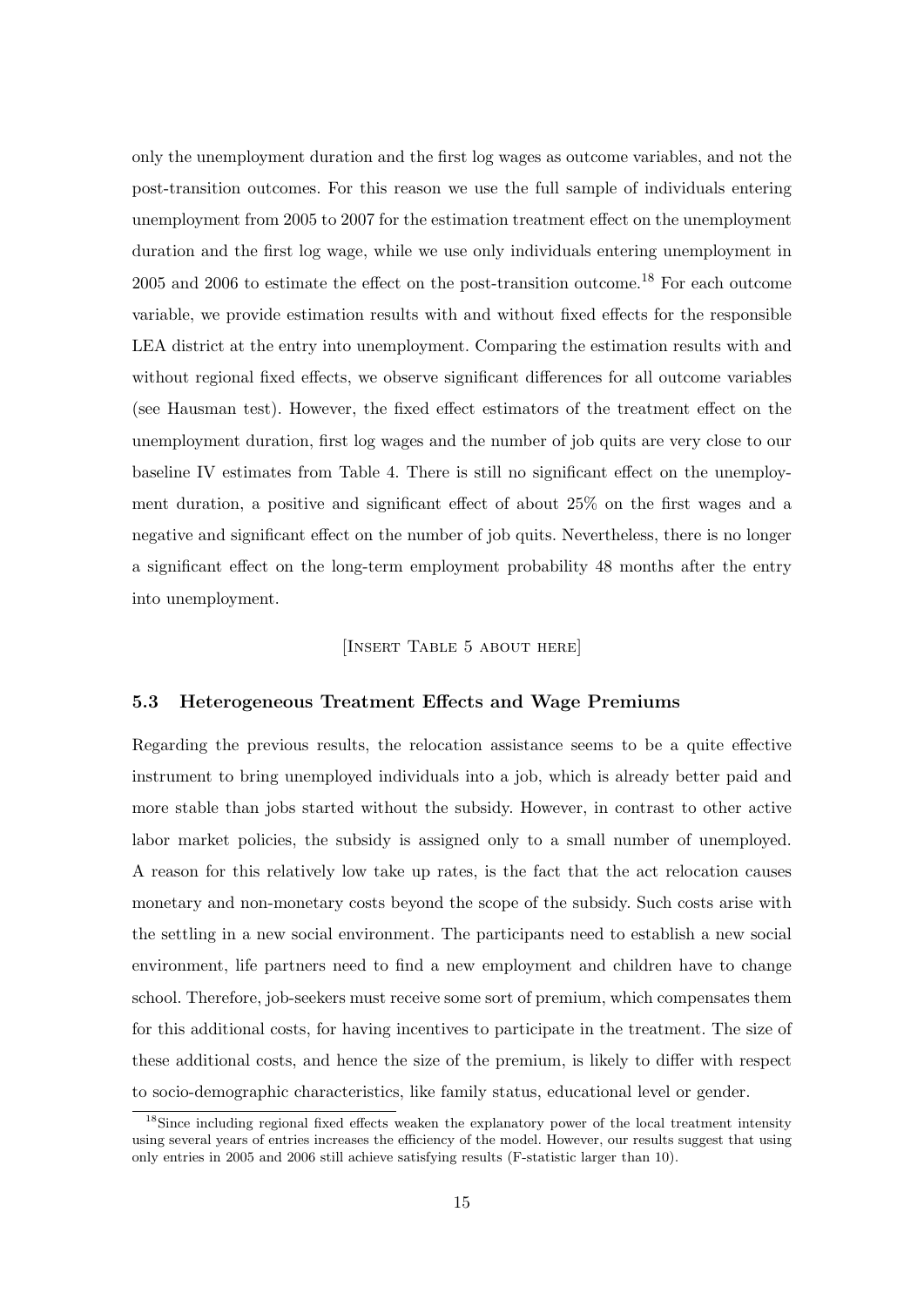only the unemployment duration and the first log wages as outcome variables, and not the post-transition outcomes. For this reason we use the full sample of individuals entering unemployment from 2005 to 2007 for the estimation treatment effect on the unemployment duration and the first log wage, while we use only individuals entering unemployment in  $2005$  and  $2006$  to estimate the effect on the post-transition outcome.<sup>18</sup> For each outcome variable, we provide estimation results with and without fixed effects for the responsible LEA district at the entry into unemployment. Comparing the estimation results with and without regional fixed effects, we observe significant differences for all outcome variables (see Hausman test). However, the fixed effect estimators of the treatment effect on the unemployment duration, first log wages and the number of job quits are very close to our baseline IV estimates from Table 4. There is still no significant effect on the unemployment duration, a positive and significant effect of about 25% on the first wages and a negative and significant effect on the number of job quits. Nevertheless, there is no longer a significant effect on the long-term employment probability 48 months after the entry into unemployment.

#### [Insert Table 5 about here]

#### 5.3 Heterogeneous Treatment Effects and Wage Premiums

Regarding the previous results, the relocation assistance seems to be a quite effective instrument to bring unemployed individuals into a job, which is already better paid and more stable than jobs started without the subsidy. However, in contrast to other active labor market policies, the subsidy is assigned only to a small number of unemployed. A reason for this relatively low take up rates, is the fact that the act relocation causes monetary and non-monetary costs beyond the scope of the subsidy. Such costs arise with the settling in a new social environment. The participants need to establish a new social environment, life partners need to find a new employment and children have to change school. Therefore, job-seekers must receive some sort of premium, which compensates them for this additional costs, for having incentives to participate in the treatment. The size of these additional costs, and hence the size of the premium, is likely to differ with respect to socio-demographic characteristics, like family status, educational level or gender.

<sup>&</sup>lt;sup>18</sup>Since including regional fixed effects weaken the explanatory power of the local treatment intensity using several years of entries increases the efficiency of the model. However, our results suggest that using only entries in 2005 and 2006 still achieve satisfying results (F-statistic larger than 10).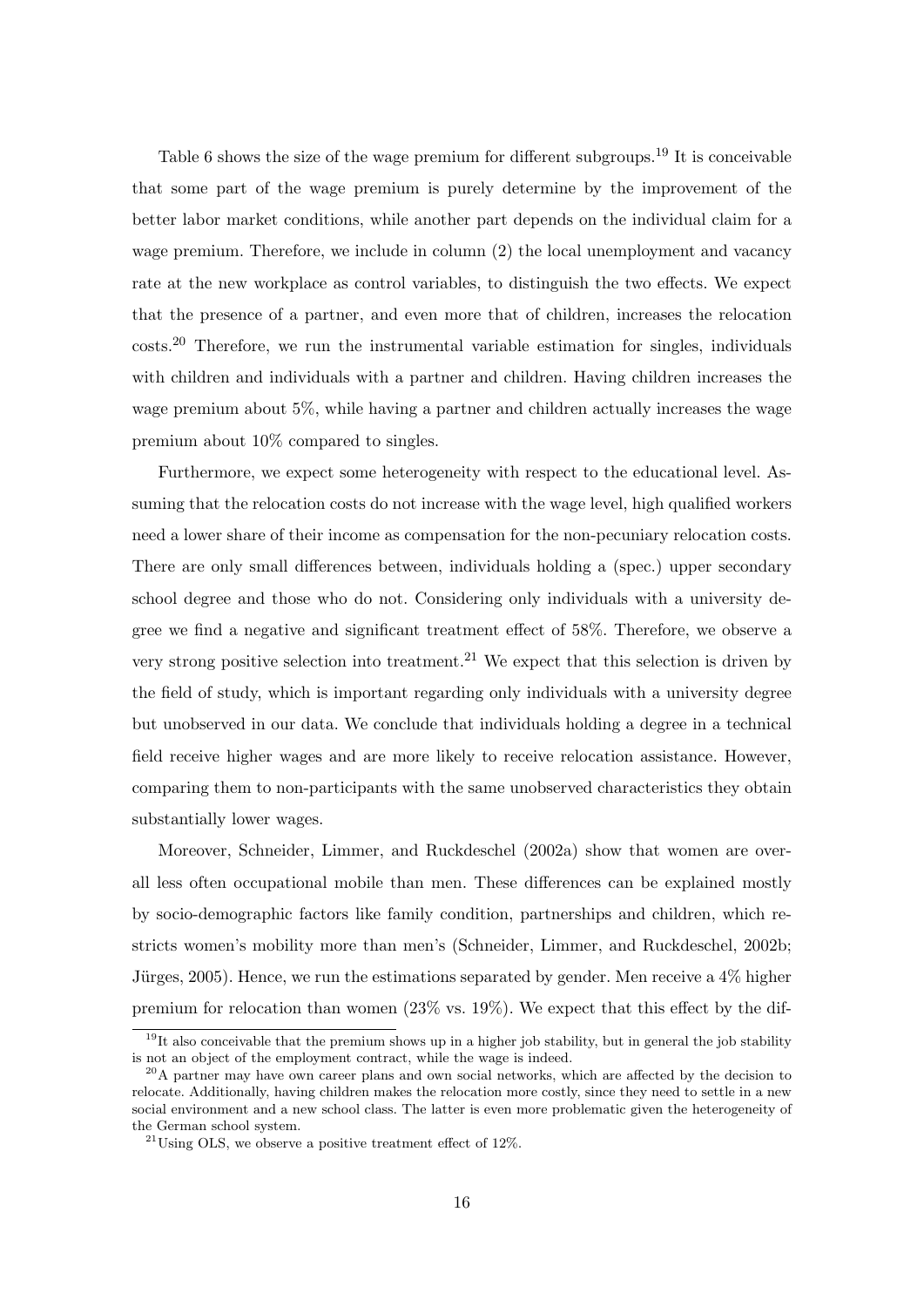Table 6 shows the size of the wage premium for different subgroups.<sup>19</sup> It is conceivable that some part of the wage premium is purely determine by the improvement of the better labor market conditions, while another part depends on the individual claim for a wage premium. Therefore, we include in column (2) the local unemployment and vacancy rate at the new workplace as control variables, to distinguish the two effects. We expect that the presence of a partner, and even more that of children, increases the relocation costs.<sup>20</sup> Therefore, we run the instrumental variable estimation for singles, individuals with children and individuals with a partner and children. Having children increases the wage premium about 5%, while having a partner and children actually increases the wage premium about 10% compared to singles.

Furthermore, we expect some heterogeneity with respect to the educational level. Assuming that the relocation costs do not increase with the wage level, high qualified workers need a lower share of their income as compensation for the non-pecuniary relocation costs. There are only small differences between, individuals holding a (spec.) upper secondary school degree and those who do not. Considering only individuals with a university degree we find a negative and significant treatment effect of 58%. Therefore, we observe a very strong positive selection into treatment.<sup>21</sup> We expect that this selection is driven by the field of study, which is important regarding only individuals with a university degree but unobserved in our data. We conclude that individuals holding a degree in a technical field receive higher wages and are more likely to receive relocation assistance. However, comparing them to non-participants with the same unobserved characteristics they obtain substantially lower wages.

Moreover, Schneider, Limmer, and Ruckdeschel (2002a) show that women are overall less often occupational mobile than men. These differences can be explained mostly by socio-demographic factors like family condition, partnerships and children, which restricts women's mobility more than men's (Schneider, Limmer, and Ruckdeschel, 2002b; Jürges, 2005). Hence, we run the estimations separated by gender. Men receive a  $4\%$  higher premium for relocation than women (23% vs. 19%). We expect that this effect by the dif-

 $19$ It also conceivable that the premium shows up in a higher job stability, but in general the job stability is not an object of the employment contract, while the wage is indeed.

<sup>&</sup>lt;sup>20</sup>A partner may have own career plans and own social networks, which are affected by the decision to relocate. Additionally, having children makes the relocation more costly, since they need to settle in a new social environment and a new school class. The latter is even more problematic given the heterogeneity of the German school system.

 $^{21}$ Using OLS, we observe a positive treatment effect of 12%.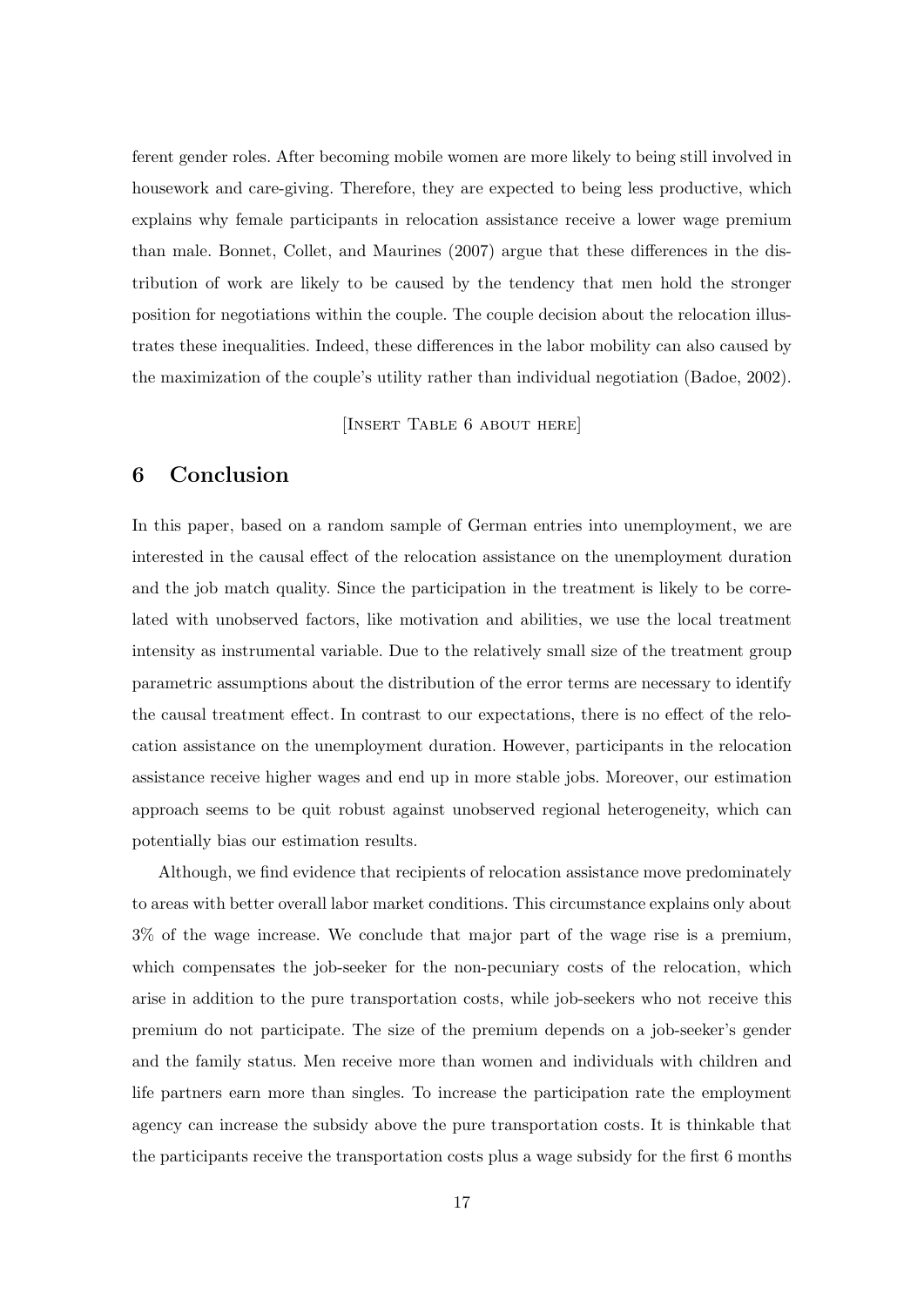ferent gender roles. After becoming mobile women are more likely to being still involved in housework and care-giving. Therefore, they are expected to being less productive, which explains why female participants in relocation assistance receive a lower wage premium than male. Bonnet, Collet, and Maurines (2007) argue that these differences in the distribution of work are likely to be caused by the tendency that men hold the stronger position for negotiations within the couple. The couple decision about the relocation illustrates these inequalities. Indeed, these differences in the labor mobility can also caused by the maximization of the couple's utility rather than individual negotiation (Badoe, 2002).

[INSERT TABLE 6 ABOUT HERE]

# 6 Conclusion

In this paper, based on a random sample of German entries into unemployment, we are interested in the causal effect of the relocation assistance on the unemployment duration and the job match quality. Since the participation in the treatment is likely to be correlated with unobserved factors, like motivation and abilities, we use the local treatment intensity as instrumental variable. Due to the relatively small size of the treatment group parametric assumptions about the distribution of the error terms are necessary to identify the causal treatment effect. In contrast to our expectations, there is no effect of the relocation assistance on the unemployment duration. However, participants in the relocation assistance receive higher wages and end up in more stable jobs. Moreover, our estimation approach seems to be quit robust against unobserved regional heterogeneity, which can potentially bias our estimation results.

Although, we find evidence that recipients of relocation assistance move predominately to areas with better overall labor market conditions. This circumstance explains only about 3% of the wage increase. We conclude that major part of the wage rise is a premium, which compensates the job-seeker for the non-pecuniary costs of the relocation, which arise in addition to the pure transportation costs, while job-seekers who not receive this premium do not participate. The size of the premium depends on a job-seeker's gender and the family status. Men receive more than women and individuals with children and life partners earn more than singles. To increase the participation rate the employment agency can increase the subsidy above the pure transportation costs. It is thinkable that the participants receive the transportation costs plus a wage subsidy for the first 6 months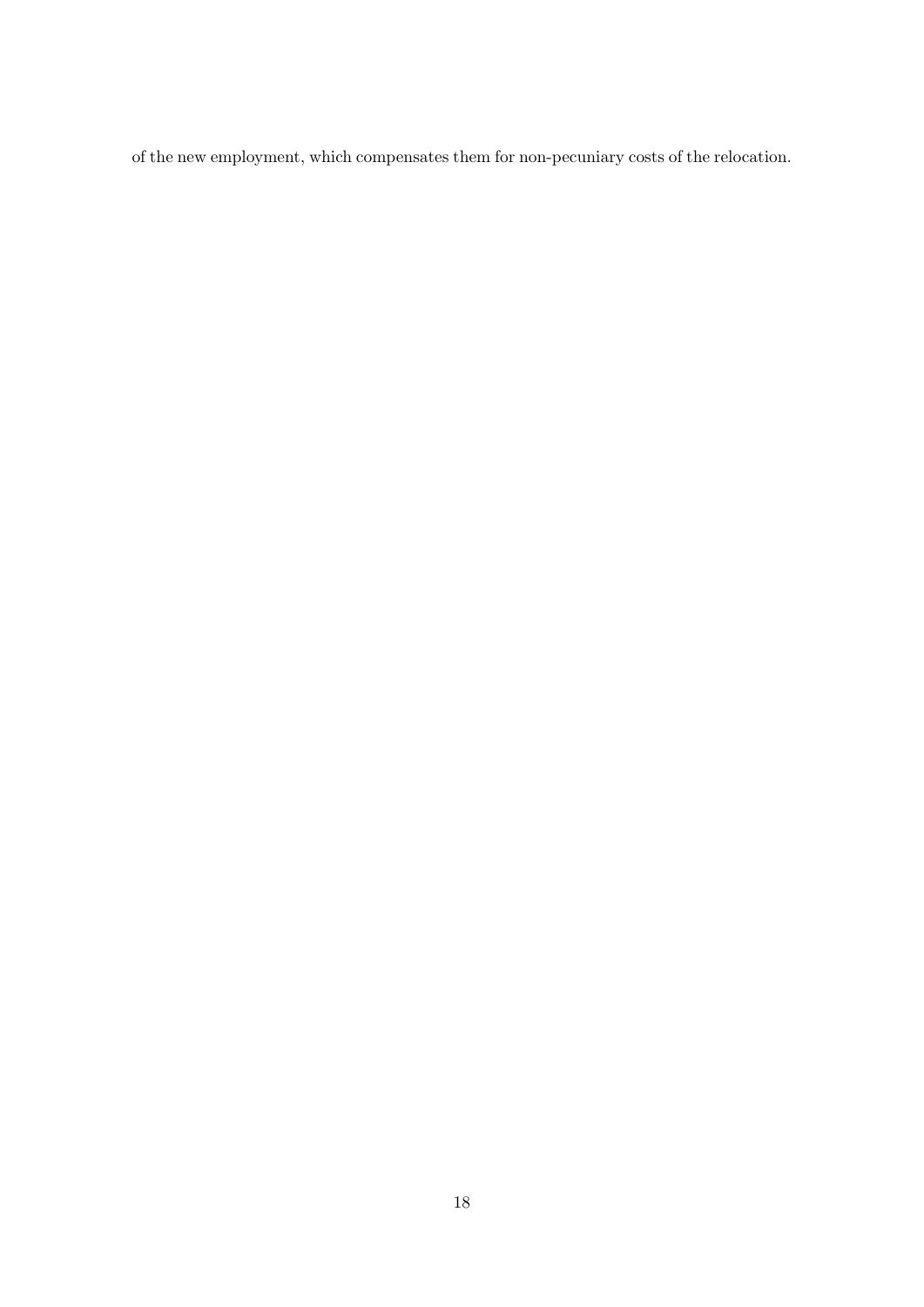of the new employment, which compensates them for non-pecuniary costs of the relocation.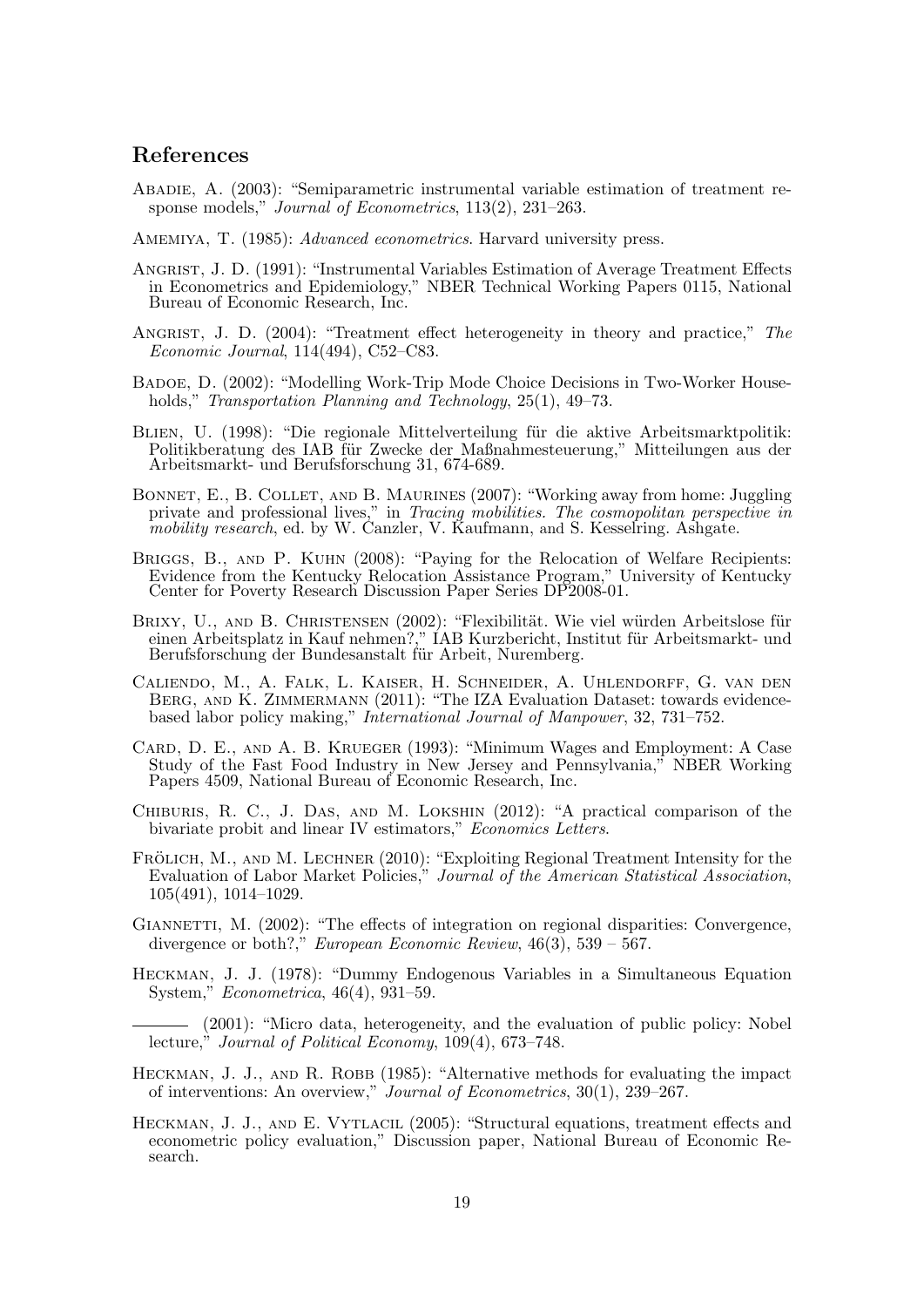# References

- Abadie, A. (2003): "Semiparametric instrumental variable estimation of treatment response models," Journal of Econometrics, 113(2), 231–263.
- AMEMIYA, T. (1985): *Advanced econometrics*. Harvard university press.
- Angrist, J. D. (1991): "Instrumental Variables Estimation of Average Treatment Effects in Econometrics and Epidemiology," NBER Technical Working Papers 0115, National Bureau of Economic Research, Inc.
- ANGRIST, J. D. (2004): "Treatment effect heterogeneity in theory and practice," The Economic Journal, 114(494), C52–C83.
- Badoe, D. (2002): "Modelling Work-Trip Mode Choice Decisions in Two-Worker Households," Transportation Planning and Technology, 25(1), 49–73.
- BLIEN, U. (1998): "Die regionale Mittelverteilung für die aktive Arbeitsmarktpolitik: Politikberatung des IAB für Zwecke der Maßnahmesteuerung," Mitteilungen aus der Arbeitsmarkt- und Berufsforschung 31, 674-689.
- Bonnet, E., B. Collet, and B. Maurines (2007): "Working away from home: Juggling private and professional lives," in Tracing mobilities. The cosmopolitan perspective in mobility research, ed. by W. Canzler, V. Kaufmann, and S. Kesselring. Ashgate.
- BRIGGS, B., AND P. KUHN (2008): "Paying for the Relocation of Welfare Recipients: Evidence from the Kentucky Relocation Assistance Program," University of Kentucky Center for Poverty Research Discussion Paper Series DP2008-01.
- BRIXY, U., AND B. CHRISTENSEN (2002): "Flexibilität. Wie viel würden Arbeitslose für einen Arbeitsplatz in Kauf nehmen?," IAB Kurzbericht, Institut für Arbeitsmarkt- und Berufsforschung der Bundesanstalt für Arbeit, Nuremberg.
- Caliendo, M., A. Falk, L. Kaiser, H. Schneider, A. Uhlendorff, G. van den Berg, and K. Zimmermann (2011): "The IZA Evaluation Dataset: towards evidencebased labor policy making," International Journal of Manpower, 32, 731–752.
- Card, D. E., and A. B. Krueger (1993): "Minimum Wages and Employment: A Case Study of the Fast Food Industry in New Jersey and Pennsylvania," NBER Working Papers 4509, National Bureau of Economic Research, Inc.
- Chiburis, R. C., J. Das, and M. Lokshin (2012): "A practical comparison of the bivariate probit and linear IV estimators," Economics Letters.
- FRÖLICH, M., AND M. LECHNER (2010): "Exploiting Regional Treatment Intensity for the Evaluation of Labor Market Policies," Journal of the American Statistical Association, 105(491), 1014–1029.
- GIANNETTI, M. (2002): "The effects of integration on regional disparities: Convergence, divergence or both?," European Economic Review, 46(3), 539 – 567.
- Heckman, J. J. (1978): "Dummy Endogenous Variables in a Simultaneous Equation System," Econometrica, 46(4), 931–59.

(2001): "Micro data, heterogeneity, and the evaluation of public policy: Nobel lecture," Journal of Political Economy, 109(4), 673–748.

- HECKMAN, J. J., AND R. ROBB (1985): "Alternative methods for evaluating the impact of interventions: An overview," Journal of Econometrics, 30(1), 239–267.
- HECKMAN, J. J., AND E. VYTLACIL (2005): "Structural equations, treatment effects and econometric policy evaluation," Discussion paper, National Bureau of Economic Research.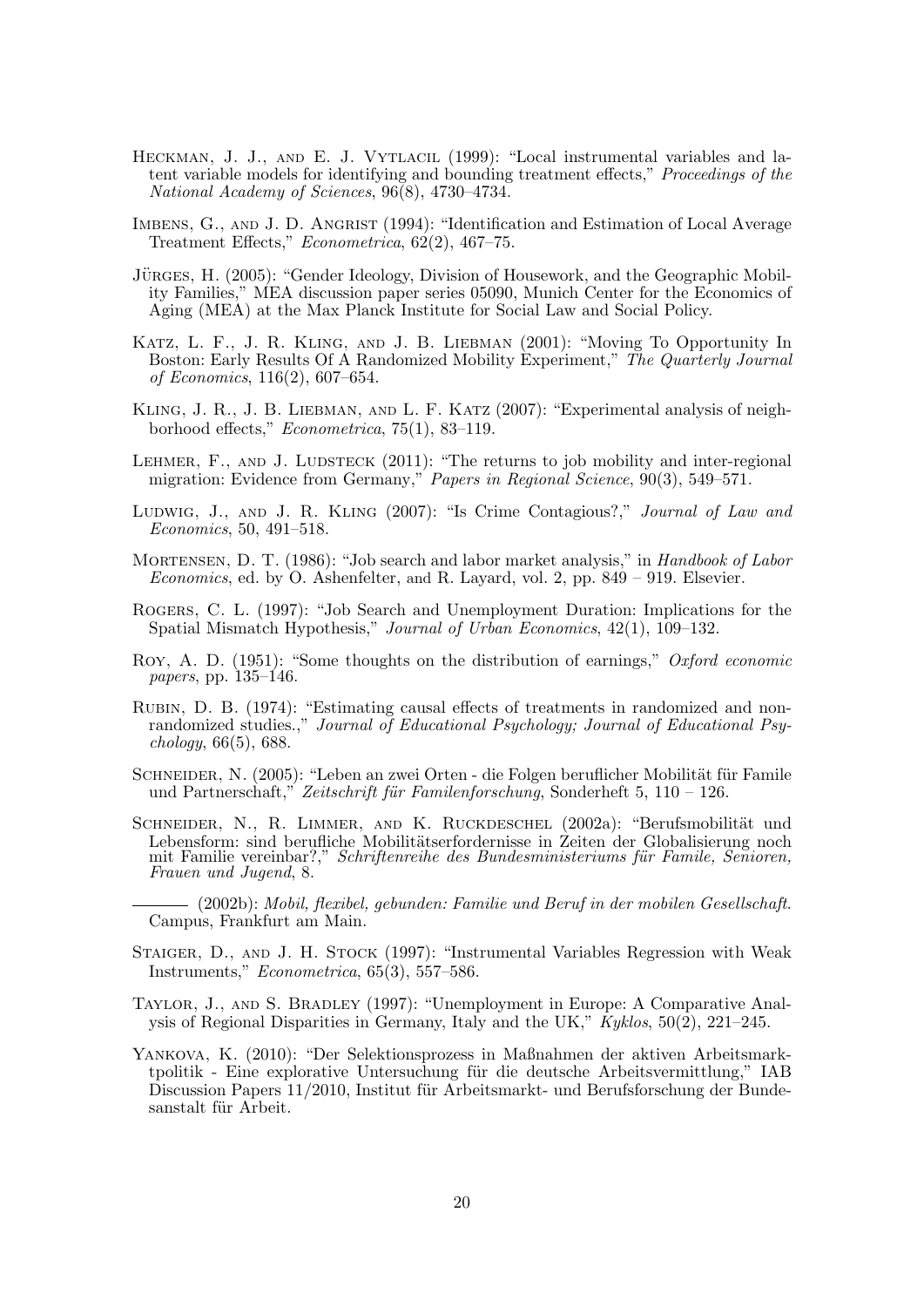- HECKMAN, J. J., AND E. J. VYTLACIL (1999): "Local instrumental variables and latent variable models for identifying and bounding treatment effects," Proceedings of the National Academy of Sciences, 96(8), 4730–4734.
- IMBENS, G., AND J. D. ANGRIST (1994): "Identification and Estimation of Local Average Treatment Effects," Econometrica, 62(2), 467–75.
- JÜRGES, H. (2005): "Gender Ideology, Division of Housework, and the Geographic Mobility Families," MEA discussion paper series 05090, Munich Center for the Economics of Aging (MEA) at the Max Planck Institute for Social Law and Social Policy.
- Katz, L. F., J. R. Kling, and J. B. Liebman (2001): "Moving To Opportunity In Boston: Early Results Of A Randomized Mobility Experiment," The Quarterly Journal of Economics, 116(2), 607–654.
- Kling, J. R., J. B. Liebman, and L. F. Katz (2007): "Experimental analysis of neighborhood effects," Econometrica, 75(1), 83–119.
- LEHMER,  $F_{\text{A}}$ , AND J. LUDSTECK (2011): "The returns to job mobility and inter-regional migration: Evidence from Germany," Papers in Regional Science, 90(3), 549–571.
- LUDWIG, J., AND J. R. KLING (2007): "Is Crime Contagious?," Journal of Law and Economics, 50, 491–518.
- MORTENSEN, D. T. (1986): "Job search and labor market analysis," in *Handbook of Labor* Economics, ed. by O. Ashenfelter, and R. Layard, vol. 2, pp. 849 – 919. Elsevier.
- Rogers, C. L. (1997): "Job Search and Unemployment Duration: Implications for the Spatial Mismatch Hypothesis," Journal of Urban Economics, 42(1), 109–132.
- Roy, A. D. (1951): "Some thoughts on the distribution of earnings," Oxford economic papers, pp. 135–146.
- Rubin, D. B. (1974): "Estimating causal effects of treatments in randomized and nonrandomized studies.," Journal of Educational Psychology; Journal of Educational Psychology, 66(5), 688.
- SCHNEIDER, N. (2005): "Leben an zwei Orten die Folgen beruflicher Mobilität für Famile und Partnerschaft," Zeitschrift für Familenforschung, Sonderheft 5, 110 – 126.
- SCHNEIDER, N., R. LIMMER, AND K. RUCKDESCHEL (2002a): "Berufsmobilität und Lebensform: sind berufliche Mobilitätserfordernisse in Zeiten der Globalisierung noch mit Familie vereinbar?," Schriftenreihe des Bundesministeriums für Famile, Senioren, Frauen und Jugend, 8.
- (2002b): Mobil, flexibel, gebunden: Familie und Beruf in der mobilen Gesellschaft. Campus, Frankfurt am Main.
- Staiger, D., and J. H. Stock (1997): "Instrumental Variables Regression with Weak Instruments," Econometrica, 65(3), 557–586.
- Taylor, J., and S. Bradley (1997): "Unemployment in Europe: A Comparative Analysis of Regional Disparities in Germany, Italy and the UK," Kyklos, 50(2), 221–245.
- Yankova, K. (2010): "Der Selektionsprozess in Maßnahmen der aktiven Arbeitsmarktpolitik - Eine explorative Untersuchung für die deutsche Arbeitsvermittlung," IAB Discussion Papers 11/2010, Institut für Arbeitsmarkt- und Berufsforschung der Bundesanstalt für Arbeit.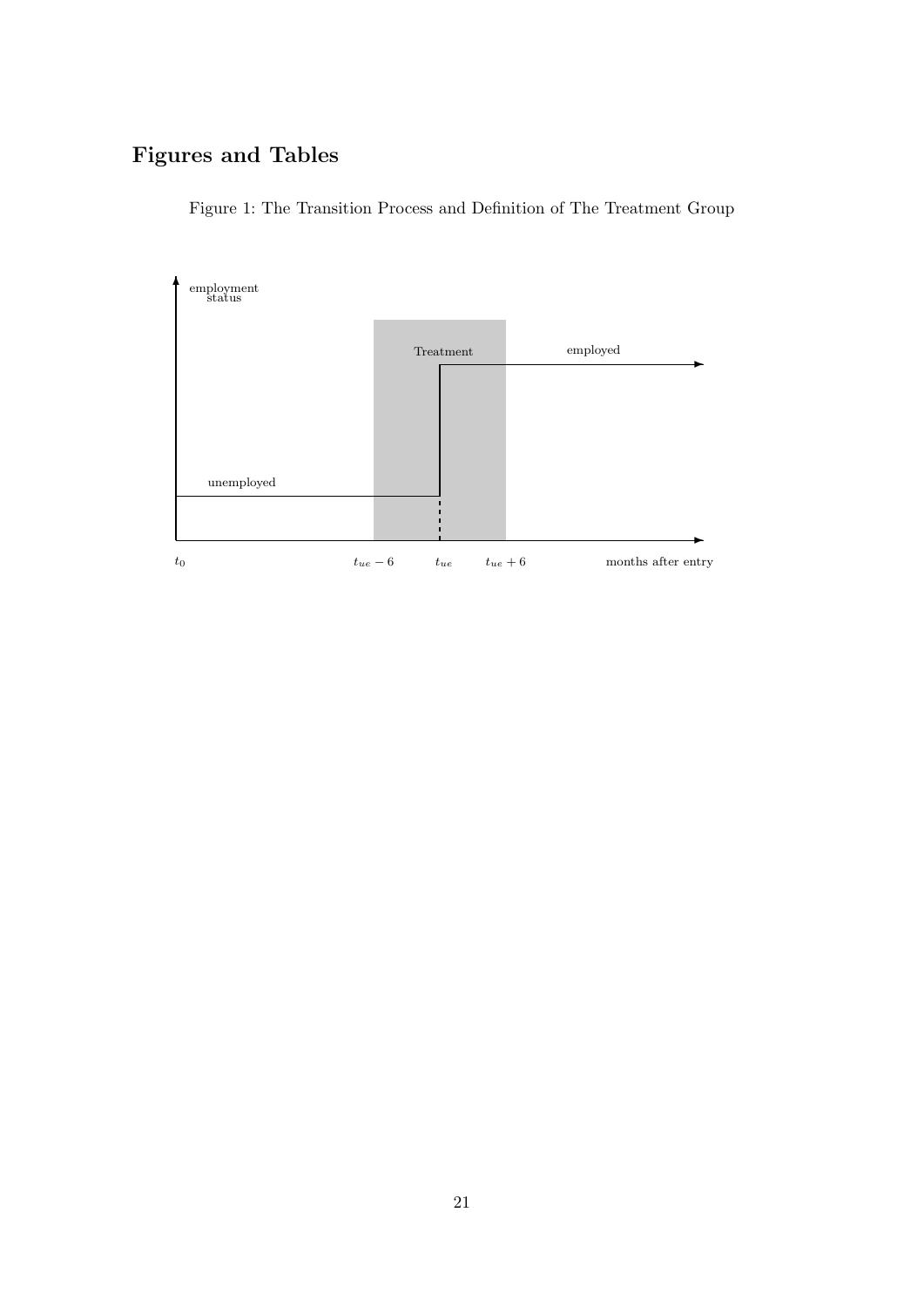# Figures and Tables



Figure 1: The Transition Process and Definition of The Treatment Group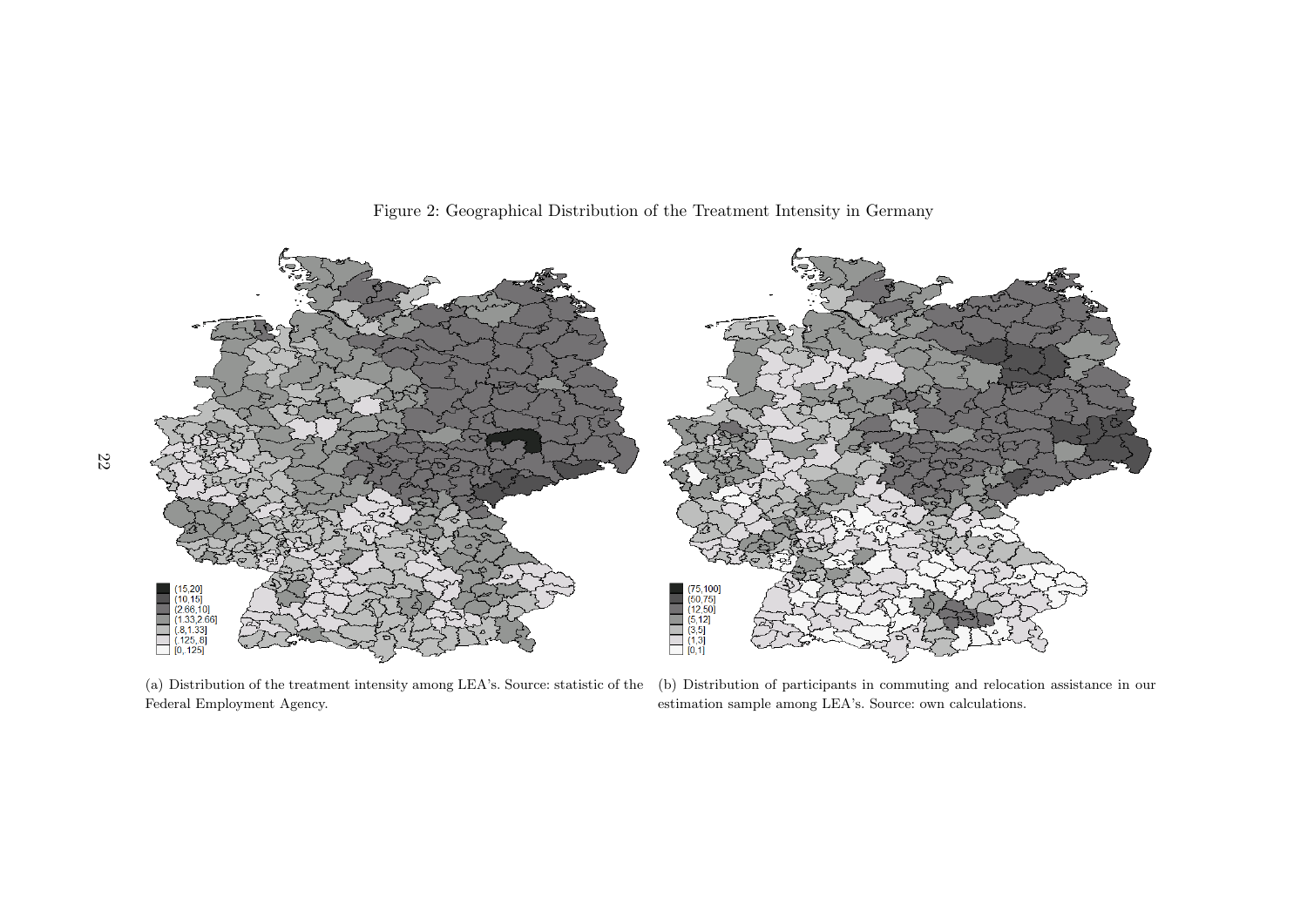

Figure 2: Geographical Distribution of the Treatment Intensity in Germany

(a) Distribution of the treatment intensity among LEA's. Source: statistic of theFederal Employment Agency.

(b) Distribution of participants in commuting and relocation assistance in ourestimation sample among LEA's. Source: own calculations.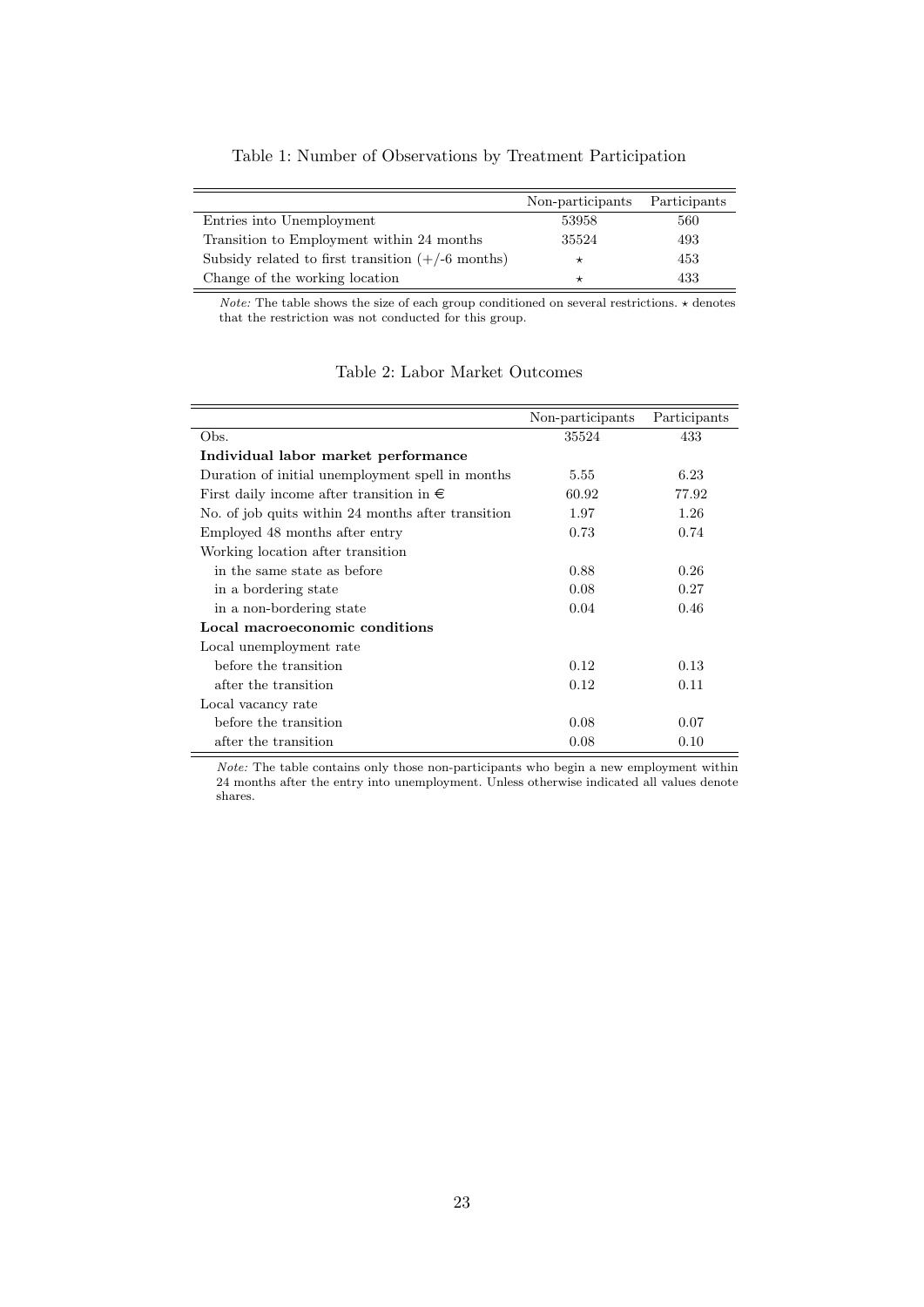|  |  |  |  |  |  |  |  | Table 1: Number of Observations by Treatment Participation |
|--|--|--|--|--|--|--|--|------------------------------------------------------------|
|--|--|--|--|--|--|--|--|------------------------------------------------------------|

|                                                     | Non-participants | Participants |
|-----------------------------------------------------|------------------|--------------|
| Entries into Unemployment                           | 53958            | 560          |
| Transition to Employment within 24 months           | 35524            | 493          |
| Subsidy related to first transition $(+/-6$ months) | $\star$          | 453          |
| Change of the working location                      |                  | 433          |

*Note:* The table shows the size of each group conditioned on several restrictions.  $\star$  denotes that the restriction was not conducted for this group.

|                                                    | Non-participants | Participants |
|----------------------------------------------------|------------------|--------------|
| Obs.                                               | 35524            | 433          |
| Individual labor market performance                |                  |              |
| Duration of initial unemployment spell in months   | 5.55             | 6.23         |
| First daily income after transition in $\epsilon$  | 60.92            | 77.92        |
| No. of job quits within 24 months after transition | 1.97             | 1.26         |
| Employed 48 months after entry                     | 0.73             | 0.74         |
| Working location after transition                  |                  |              |
| in the same state as before                        | 0.88             | 0.26         |
| in a bordering state                               | 0.08             | 0.27         |
| in a non-bordering state                           | 0.04             | 0.46         |
| Local macroeconomic conditions                     |                  |              |
| Local unemployment rate                            |                  |              |
| before the transition                              | 0.12             | 0.13         |
| after the transition                               | 0.12             | 0.11         |
| Local vacancy rate                                 |                  |              |
| before the transition                              | 0.08             | 0.07         |
| after the transition                               | 0.08             | 0.10         |

Table 2: Labor Market Outcomes

Note: The table contains only those non-participants who begin a new employment within 24 months after the entry into unemployment. Unless otherwise indicated all values denote shares.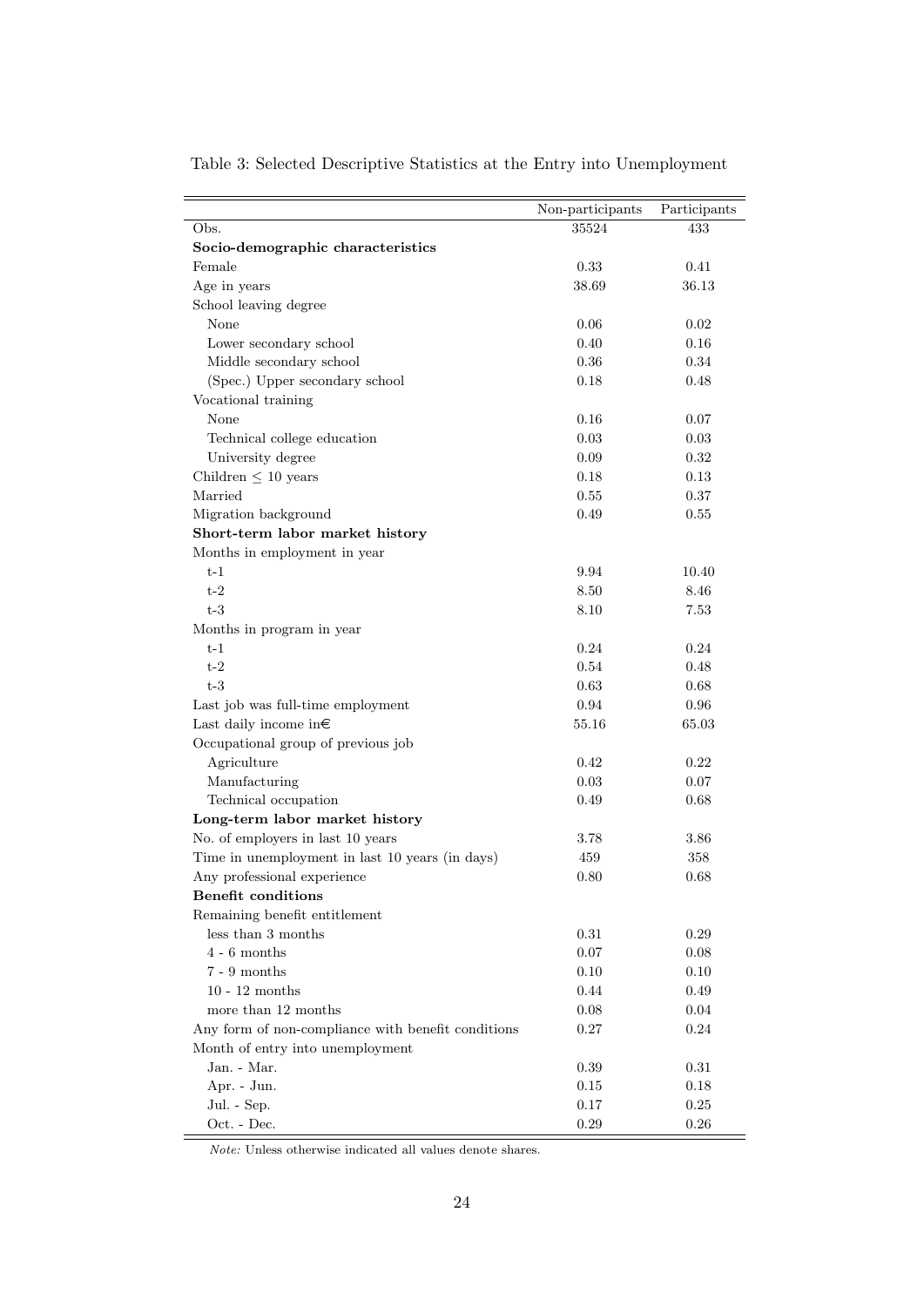|                                                    | Non-participants | Participants |
|----------------------------------------------------|------------------|--------------|
| Obs.                                               | 35524            | 433          |
| Socio-demographic characteristics                  |                  |              |
| Female                                             | 0.33             | 0.41         |
| Age in years                                       | 38.69            | 36.13        |
| School leaving degree                              |                  |              |
|                                                    |                  |              |
| None                                               | 0.06             | 0.02         |
| Lower secondary school                             | 0.40             | 0.16         |
| Middle secondary school                            | 0.36             | 0.34         |
| (Spec.) Upper secondary school                     | 0.18             | 0.48         |
| Vocational training                                |                  |              |
| None                                               | 0.16             | 0.07         |
| Technical college education                        | 0.03             | 0.03         |
| University degree                                  | 0.09             | 0.32         |
| Children $\leq 10$ years                           | 0.18             | 0.13         |
| Married                                            | 0.55             | 0.37         |
| Migration background                               | 0.49             | 0.55         |
| Short-term labor market history                    |                  |              |
| Months in employment in year                       |                  |              |
| $t-1$                                              | 9.94             | 10.40        |
| $t-2$                                              | 8.50             | 8.46         |
| $t-3$                                              | 8.10             | 7.53         |
| Months in program in year                          |                  |              |
| $t-1$                                              | 0.24             | 0.24         |
| $t-2$                                              | 0.54             | 0.48         |
| $t-3$                                              | 0.63             | 0.68         |
| Last job was full-time employment                  | 0.94             | 0.96         |
| Last daily income in $\in$                         | 55.16            | 65.03        |
| Occupational group of previous job                 |                  |              |
| Agriculture                                        | 0.42             | 0.22         |
| Manufacturing                                      | 0.03             | 0.07         |
| Technical occupation                               | 0.49             | 0.68         |
| Long-term labor market history                     |                  |              |
| No. of employers in last 10 years                  | 3.78             | 3.86         |
| Time in unemployment in last 10 years (in days)    | 459              | 358          |
| Any professional experience                        | 0.80             | 0.68         |
| <b>Benefit conditions</b>                          |                  |              |
| Remaining benefit entitlement                      |                  |              |
| less than 3 months                                 | 0.31             | 0.29         |
| $4$ - $6$ months                                   | 0.07             | 0.08         |
| $7 - 9$ months                                     | 0.10             | 0.10         |
| $10 - 12$ months                                   | 0.44             | 0.49         |
| more than 12 months                                | 0.08             | 0.04         |
| Any form of non-compliance with benefit conditions | 0.27             | 0.24         |
|                                                    |                  |              |
| Month of entry into unemployment                   |                  |              |
| Jan. - Mar.                                        | 0.39             | 0.31         |
| Apr. - Jun.                                        | 0.15             | 0.18         |
| Jul. - Sep.                                        | 0.17             | 0.25         |
| Oct. - Dec.                                        | 0.29             | 0.26         |

Table 3: Selected Descriptive Statistics at the Entry into Unemployment

Note: Unless otherwise indicated all values denote shares.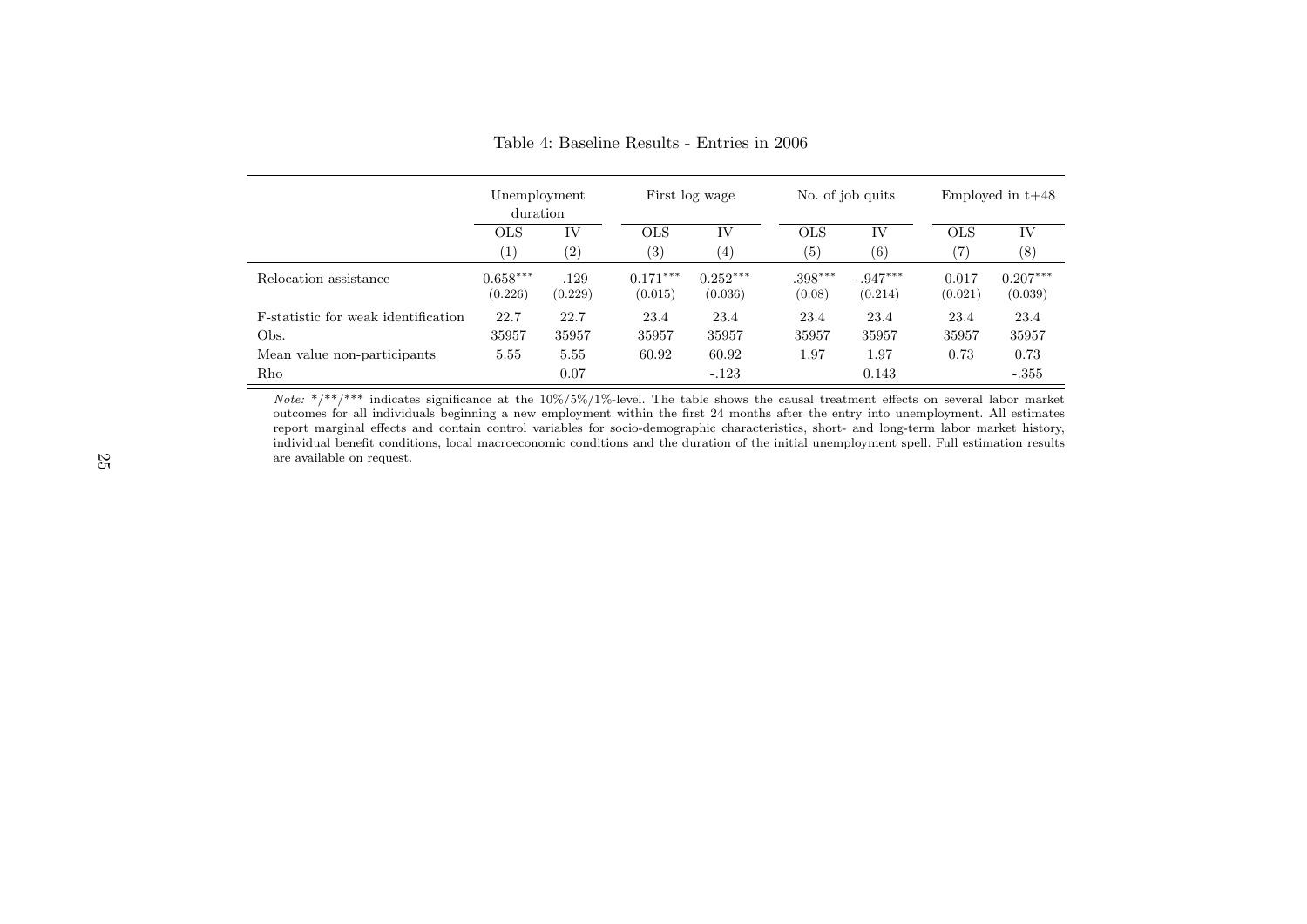|                                             | Unemployment<br>duration |                    |                       | First log wage        |                      | No. of job quits      |                   | Employed in $t+48$    |  |
|---------------------------------------------|--------------------------|--------------------|-----------------------|-----------------------|----------------------|-----------------------|-------------------|-----------------------|--|
|                                             | <b>OLS</b>               | IV                 | <b>OLS</b>            | IV                    | <b>OLS</b>           | IV                    | OLS               | IV                    |  |
|                                             | $\left( 1\right)$        | $\left( 2\right)$  | (3)                   | $\left( 4\right)$     | (5)                  | (6)                   | $\left( 7\right)$ | (8)                   |  |
| Relocation assistance                       | $0.658***$<br>(0.226)    | $-.129$<br>(0.229) | $0.171***$<br>(0.015) | $0.252***$<br>(0.036) | $-.398***$<br>(0.08) | $-.947***$<br>(0.214) | 0.017<br>(0.021)  | $0.207***$<br>(0.039) |  |
| <b>F</b> -statistic for weak identification | 22.7                     | 22.7               | 23.4                  | 23.4                  | 23.4                 | 23.4                  | 23.4              | 23.4                  |  |
| Obs.                                        | 35957                    | 35957              | 35957                 | 35957                 | 35957                | 35957                 | 35957             | 35957                 |  |
| Mean value non-participants                 | 5.55                     | 5.55               | 60.92                 | 60.92                 | 1.97                 | 1.97                  | 0.73              | 0.73                  |  |
| Rho                                         |                          | 0.07               |                       | $-.123$               |                      | 0.143                 |                   | $-.355$               |  |

Table 4: Baseline Results - Entries in 2006

*Note:*  $*/**/***$  indicates significance at the 10%/5%/1%-level. The table shows the causal treatment effects on several labor market outcomes for all individuals beginning a new employment within the first 24 months after report marginal effects and contain control variables for socio-demographic characteristics, short- and long-term labor market history, individual benefit conditions, local macroeconomic conditions and the duration of the initial unemployment spell. Full estimation resultsare available on request.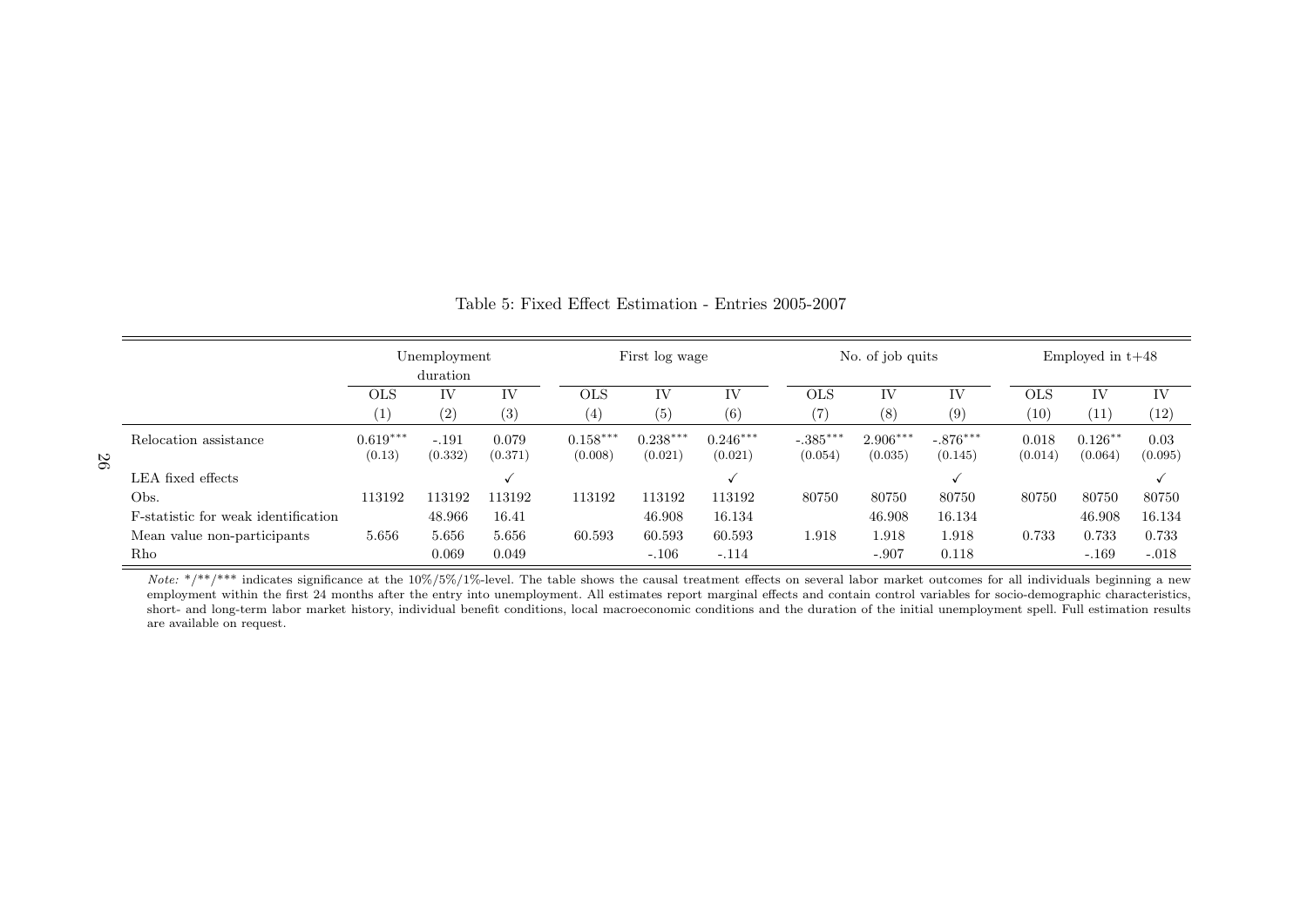|                                             | Unemployment<br>duration |                    | First log wage   |                       | No. of job quits      |                       |                       | Employed in $t+48$    |                       |                  |                       |                 |
|---------------------------------------------|--------------------------|--------------------|------------------|-----------------------|-----------------------|-----------------------|-----------------------|-----------------------|-----------------------|------------------|-----------------------|-----------------|
|                                             | <b>OLS</b>               | IV                 | ΙV               | <b>OLS</b>            | IV                    | ΙV                    | $_{\rm OLS}$          | IV                    | IV                    | <b>OLS</b>       | IV                    | IV              |
|                                             | (1)                      | (2)                | (3)              | (4)                   | (5)                   | (6)                   | $\scriptstyle{(7)}$   | (8)                   | (9)                   | (10)             | (11)                  | (12)            |
| Relocation assistance                       | $0.619***$<br>(0.13)     | $-.191$<br>(0.332) | 0.079<br>(0.371) | $0.158***$<br>(0.008) | $0.238***$<br>(0.021) | $0.246***$<br>(0.021) | $-.385***$<br>(0.054) | $2.906***$<br>(0.035) | $-.876***$<br>(0.145) | 0.018<br>(0.014) | $0.126***$<br>(0.064) | 0.03<br>(0.095) |
| LEA fixed effects                           |                          |                    |                  |                       |                       |                       |                       |                       |                       |                  |                       |                 |
| Obs.                                        | 113192                   | 113192             | 113192           | 113192                | 113192                | 113192                | 80750                 | 80750                 | 80750                 | 80750            | 80750                 | 80750           |
| <b>F</b> -statistic for weak identification |                          | 48.966             | 16.41            |                       | 46.908                | 16.134                |                       | 46.908                | 16.134                |                  | 46.908                | 16.134          |
| Mean value non-participants                 | 5.656                    | 5.656              | 5.656            | 60.593                | 60.593                | 60.593                | 1.918                 | 1.918                 | 1.918                 | 0.733            | 0.733                 | 0.733           |
| Rho                                         |                          | 0.069              | 0.049            |                       | $-.106$               | $-.114$               |                       | $-.907$               | 0.118                 |                  | $-.169$               | $-.018$         |

Table 5: Fixed Effect Estimation - Entries 2005-2007

Note:  $*/**$  indicates significance at the 10%/5%/1%-level. The table shows the causal treatment effects on several labor market outcomes for all individuals beginning a new employment within the first 24 months after the entry into unemployment. All estimates report marginal effects and contain control variables for socio-demographic characteristics,short- and long-term labor market history, individual benefit conditions, local macroeconomic conditions and the duration of the initial unemployment spell. Full estimation results are available on request.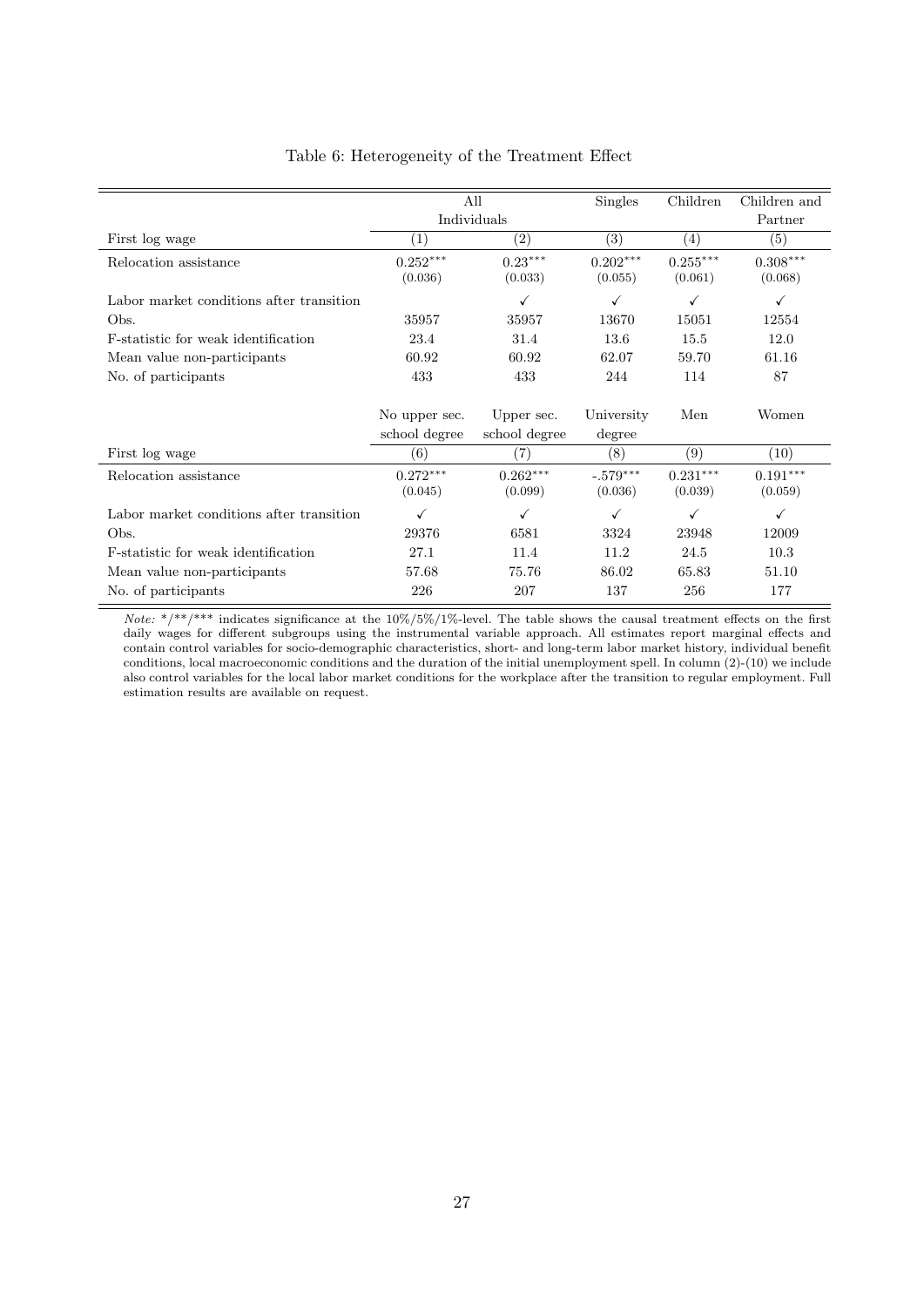|                                          |                                | All                         | Singles               | Children              | Children and          |
|------------------------------------------|--------------------------------|-----------------------------|-----------------------|-----------------------|-----------------------|
|                                          |                                | Individuals                 |                       |                       | Partner               |
| First log wage                           | (1)                            | $\left( 2\right)$           | (3)                   | (4)                   | (5)                   |
| Relocation assistance                    | $0.252***$<br>(0.036)          | $0.23***$<br>(0.033)        | $0.202***$<br>(0.055) | $0.255***$<br>(0.061) | $0.308***$<br>(0.068) |
| Labor market conditions after transition |                                | ✓                           | ✓                     | ✓                     | ✓                     |
| Obs.                                     | 35957                          | 35957                       | 13670                 | 15051                 | 12554                 |
| F-statistic for weak identification      | 23.4                           | 31.4                        | 13.6                  | 15.5                  | 12.0                  |
| Mean value non-participants              | 60.92                          | 60.92                       | 62.07                 | 59.70                 | 61.16                 |
| No. of participants                      | 433                            | 433                         | 244                   | 114                   | 87                    |
|                                          | No upper sec.<br>school degree | Upper sec.<br>school degree | University<br>degree  | Men                   | Women                 |
| First log wage                           | (6)                            | $\left( 7\right)$           | (8)                   | (9)                   | (10)                  |
| Relocation assistance                    | $0.272***$<br>(0.045)          | $0.262***$<br>(0.099)       | $-.579***$<br>(0.036) | $0.231***$<br>(0.039) | $0.191***$<br>(0.059) |
| Labor market conditions after transition | $\checkmark$                   | ✓                           | ✓                     | ✓                     | ✓                     |
| Obs.                                     | 29376                          | 6581                        | 3324                  | 23948                 | 12009                 |
| F-statistic for weak identification      | 27.1                           | 11.4                        | 11.2                  | 24.5                  | 10.3                  |
| Mean value non-participants              | 57.68                          | 75.76                       | 86.02                 | 65.83                 | 51.10                 |
| No. of participants                      | 226                            | 207                         | 137                   | 256                   | 177                   |

## Table 6: Heterogeneity of the Treatment Effect

Note: \*/\*\*/\*\*\* indicates significance at the  $10\%/5\%/1\%$ -level. The table shows the causal treatment effects on the first daily wages for different subgroups using the instrumental variable approach. All estimates report marginal effects and contain control variables for socio-demographic characteristics, short- and long-term labor market history, individual benefit conditions, local macroeconomic conditions and the duration of the initial unemployment spell. In column (2)-(10) we include also control variables for the local labor market conditions for the workplace after the transition to regular employment. Full estimation results are available on request.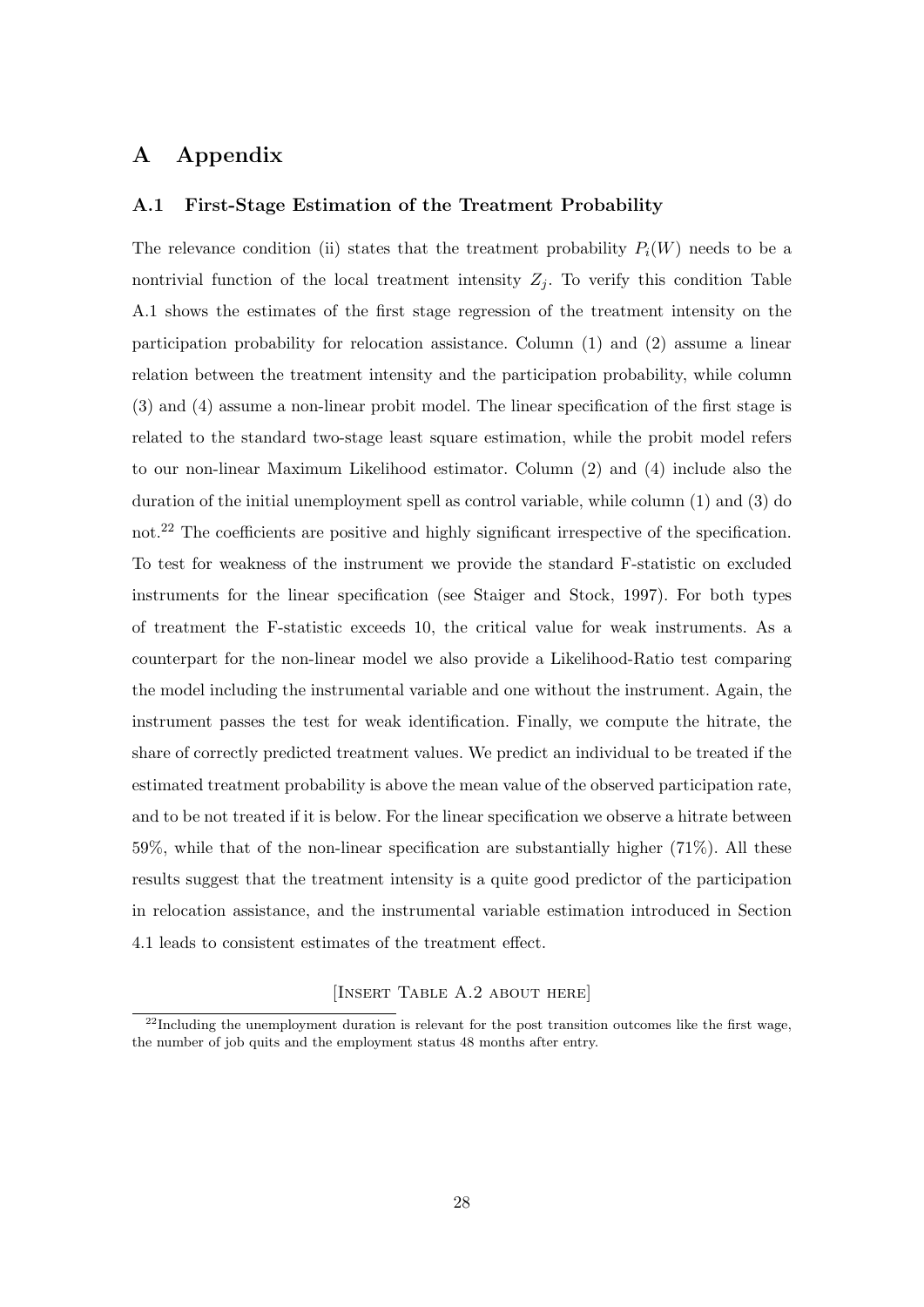# A Appendix

## A.1 First-Stage Estimation of the Treatment Probability

The relevance condition (ii) states that the treatment probability  $P_i(W)$  needs to be a nontrivial function of the local treatment intensity  $Z_i$ . To verify this condition Table A.1 shows the estimates of the first stage regression of the treatment intensity on the participation probability for relocation assistance. Column (1) and (2) assume a linear relation between the treatment intensity and the participation probability, while column (3) and (4) assume a non-linear probit model. The linear specification of the first stage is related to the standard two-stage least square estimation, while the probit model refers to our non-linear Maximum Likelihood estimator. Column (2) and (4) include also the duration of the initial unemployment spell as control variable, while column (1) and (3) do not.<sup>22</sup> The coefficients are positive and highly significant irrespective of the specification. To test for weakness of the instrument we provide the standard F-statistic on excluded instruments for the linear specification (see Staiger and Stock, 1997). For both types of treatment the F-statistic exceeds 10, the critical value for weak instruments. As a counterpart for the non-linear model we also provide a Likelihood-Ratio test comparing the model including the instrumental variable and one without the instrument. Again, the instrument passes the test for weak identification. Finally, we compute the hitrate, the share of correctly predicted treatment values. We predict an individual to be treated if the estimated treatment probability is above the mean value of the observed participation rate, and to be not treated if it is below. For the linear specification we observe a hitrate between 59%, while that of the non-linear specification are substantially higher (71%). All these results suggest that the treatment intensity is a quite good predictor of the participation in relocation assistance, and the instrumental variable estimation introduced in Section 4.1 leads to consistent estimates of the treatment effect.

## [Insert Table A.2 about here]

 $^{22}$ Including the unemployment duration is relevant for the post transition outcomes like the first wage, the number of job quits and the employment status 48 months after entry.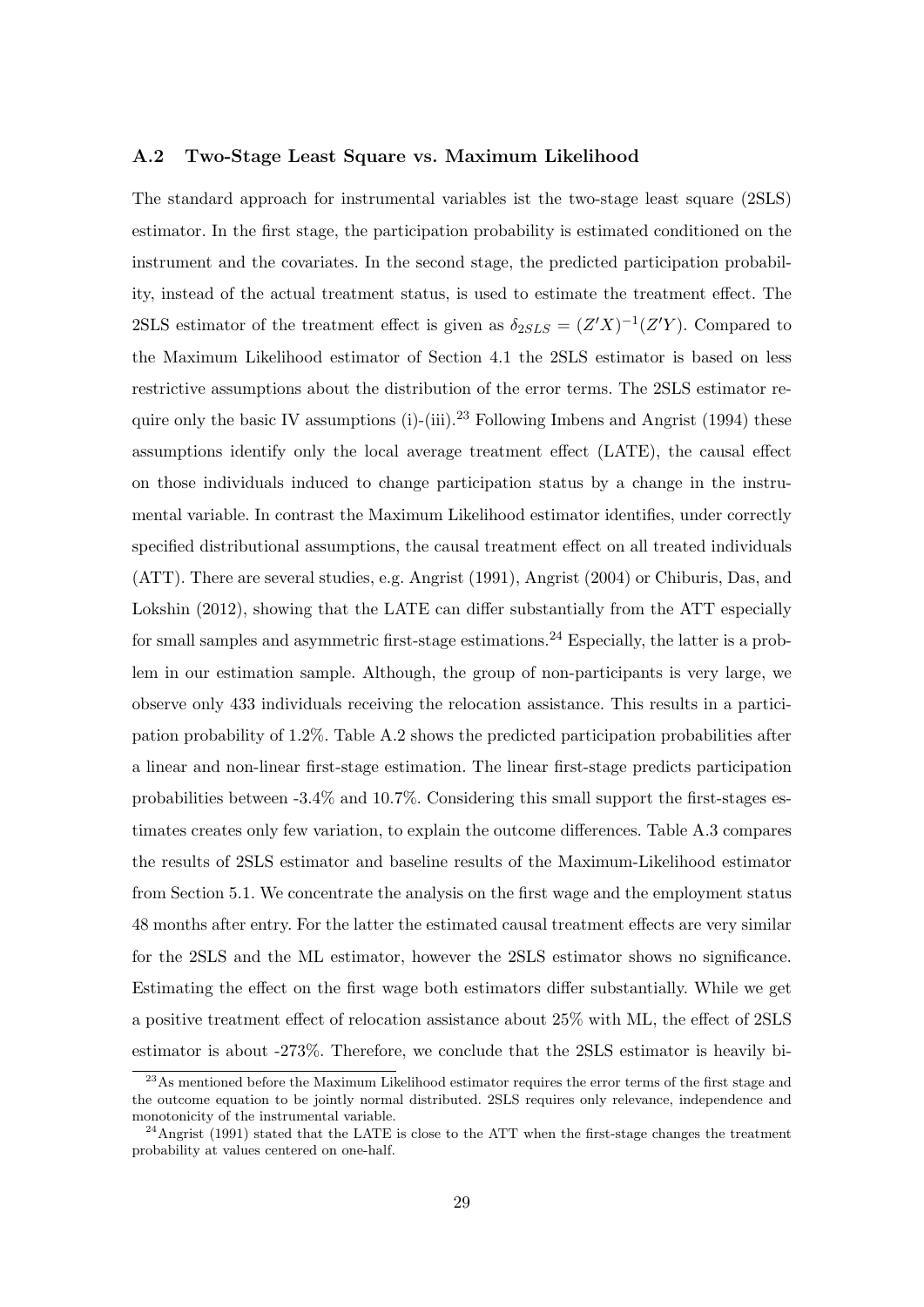#### A.2 Two-Stage Least Square vs. Maximum Likelihood

The standard approach for instrumental variables ist the two-stage least square (2SLS) estimator. In the first stage, the participation probability is estimated conditioned on the instrument and the covariates. In the second stage, the predicted participation probability, instead of the actual treatment status, is used to estimate the treatment effect. The 2SLS estimator of the treatment effect is given as  $\delta_{2SLS} = (Z'X)^{-1}(Z'Y)$ . Compared to the Maximum Likelihood estimator of Section 4.1 the 2SLS estimator is based on less restrictive assumptions about the distribution of the error terms. The 2SLS estimator require only the basic IV assumptions (i)-(iii).<sup>23</sup> Following Imbens and Angrist (1994) these assumptions identify only the local average treatment effect (LATE), the causal effect on those individuals induced to change participation status by a change in the instrumental variable. In contrast the Maximum Likelihood estimator identifies, under correctly specified distributional assumptions, the causal treatment effect on all treated individuals (ATT). There are several studies, e.g. Angrist (1991), Angrist (2004) or Chiburis, Das, and Lokshin (2012), showing that the LATE can differ substantially from the ATT especially for small samples and asymmetric first-stage estimations.<sup>24</sup> Especially, the latter is a problem in our estimation sample. Although, the group of non-participants is very large, we observe only 433 individuals receiving the relocation assistance. This results in a participation probability of 1.2%. Table A.2 shows the predicted participation probabilities after a linear and non-linear first-stage estimation. The linear first-stage predicts participation probabilities between -3.4% and 10.7%. Considering this small support the first-stages estimates creates only few variation, to explain the outcome differences. Table A.3 compares the results of 2SLS estimator and baseline results of the Maximum-Likelihood estimator from Section 5.1. We concentrate the analysis on the first wage and the employment status 48 months after entry. For the latter the estimated causal treatment effects are very similar for the 2SLS and the ML estimator, however the 2SLS estimator shows no significance. Estimating the effect on the first wage both estimators differ substantially. While we get a positive treatment effect of relocation assistance about 25% with ML, the effect of 2SLS estimator is about -273%. Therefore, we conclude that the 2SLS estimator is heavily bi-

<sup>&</sup>lt;sup>23</sup>As mentioned before the Maximum Likelihood estimator requires the error terms of the first stage and the outcome equation to be jointly normal distributed. 2SLS requires only relevance, independence and monotonicity of the instrumental variable.

<sup>&</sup>lt;sup>24</sup>Angrist (1991) stated that the LATE is close to the ATT when the first-stage changes the treatment probability at values centered on one-half.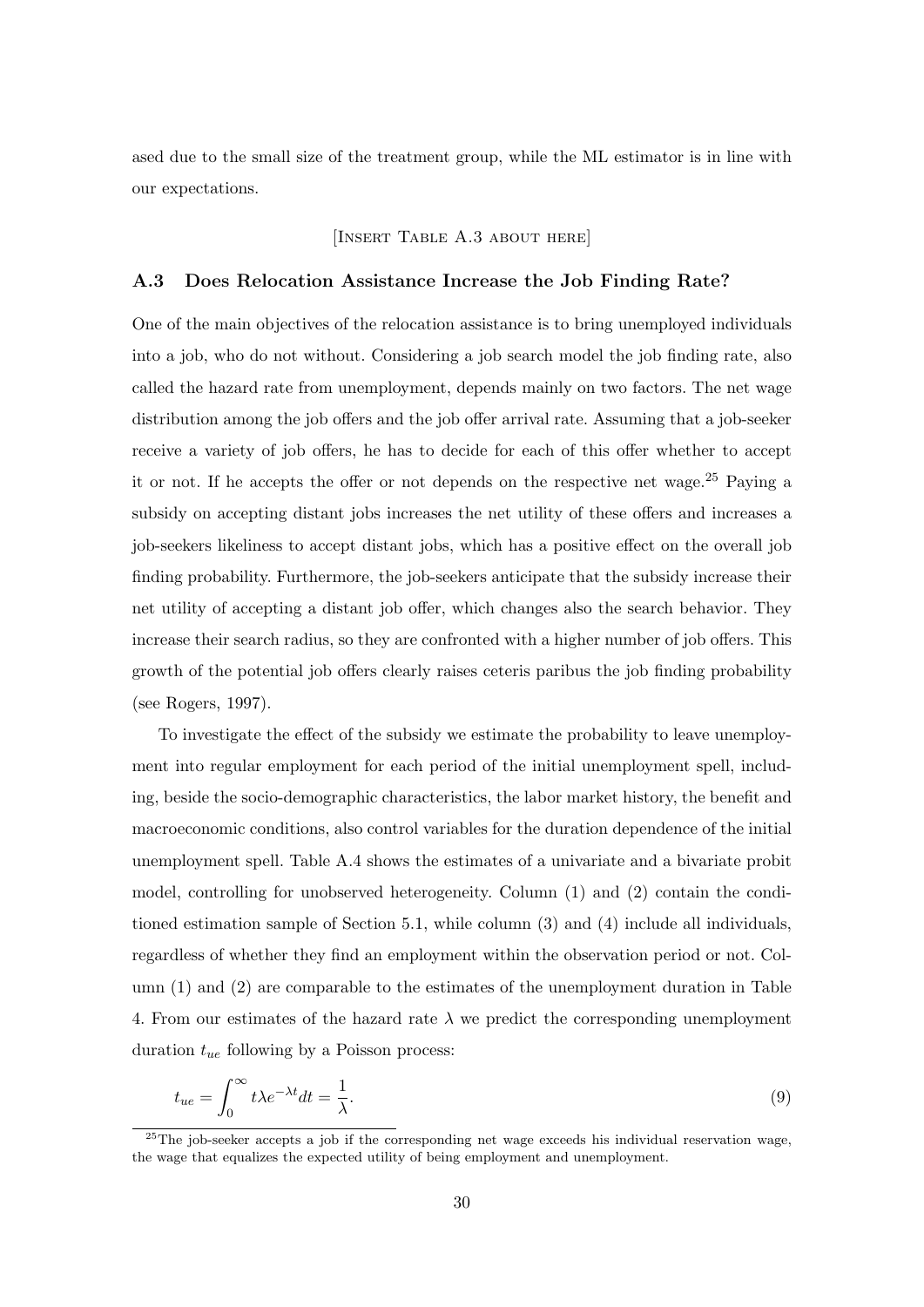ased due to the small size of the treatment group, while the ML estimator is in line with our expectations.

## [INSERT TABLE A.3 ABOUT HERE]

#### A.3 Does Relocation Assistance Increase the Job Finding Rate?

One of the main objectives of the relocation assistance is to bring unemployed individuals into a job, who do not without. Considering a job search model the job finding rate, also called the hazard rate from unemployment, depends mainly on two factors. The net wage distribution among the job offers and the job offer arrival rate. Assuming that a job-seeker receive a variety of job offers, he has to decide for each of this offer whether to accept it or not. If he accepts the offer or not depends on the respective net wage.<sup>25</sup> Paying a subsidy on accepting distant jobs increases the net utility of these offers and increases a job-seekers likeliness to accept distant jobs, which has a positive effect on the overall job finding probability. Furthermore, the job-seekers anticipate that the subsidy increase their net utility of accepting a distant job offer, which changes also the search behavior. They increase their search radius, so they are confronted with a higher number of job offers. This growth of the potential job offers clearly raises ceteris paribus the job finding probability (see Rogers, 1997).

To investigate the effect of the subsidy we estimate the probability to leave unemployment into regular employment for each period of the initial unemployment spell, including, beside the socio-demographic characteristics, the labor market history, the benefit and macroeconomic conditions, also control variables for the duration dependence of the initial unemployment spell. Table A.4 shows the estimates of a univariate and a bivariate probit model, controlling for unobserved heterogeneity. Column (1) and (2) contain the conditioned estimation sample of Section 5.1, while column (3) and (4) include all individuals, regardless of whether they find an employment within the observation period or not. Column (1) and (2) are comparable to the estimates of the unemployment duration in Table 4. From our estimates of the hazard rate  $\lambda$  we predict the corresponding unemployment duration  $t_{ue}$  following by a Poisson process:

$$
t_{ue} = \int_0^\infty t\lambda e^{-\lambda t}dt = \frac{1}{\lambda}.\tag{9}
$$

<sup>&</sup>lt;sup>25</sup>The job-seeker accepts a job if the corresponding net wage exceeds his individual reservation wage, the wage that equalizes the expected utility of being employment and unemployment.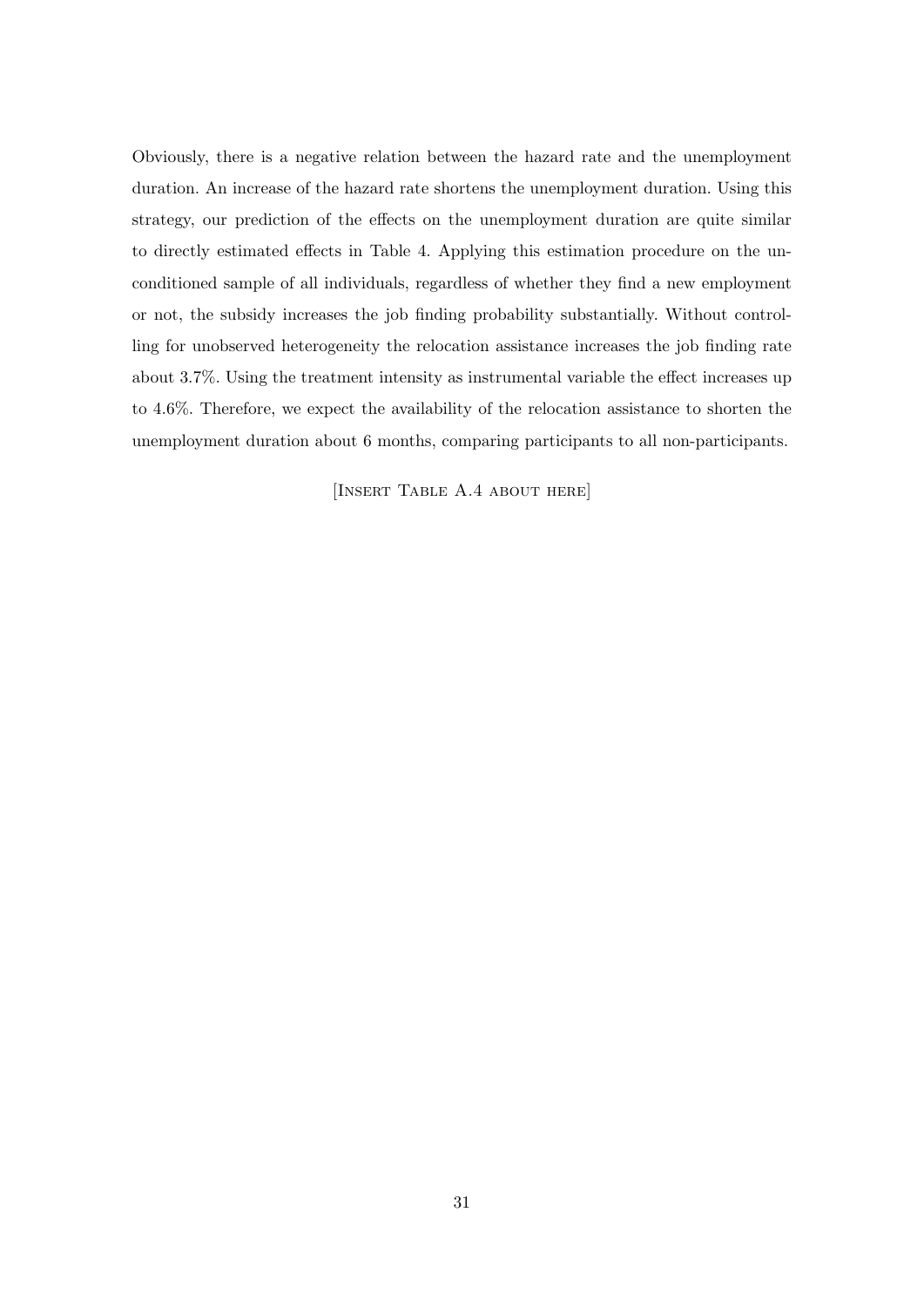Obviously, there is a negative relation between the hazard rate and the unemployment duration. An increase of the hazard rate shortens the unemployment duration. Using this strategy, our prediction of the effects on the unemployment duration are quite similar to directly estimated effects in Table 4. Applying this estimation procedure on the unconditioned sample of all individuals, regardless of whether they find a new employment or not, the subsidy increases the job finding probability substantially. Without controlling for unobserved heterogeneity the relocation assistance increases the job finding rate about 3.7%. Using the treatment intensity as instrumental variable the effect increases up to 4.6%. Therefore, we expect the availability of the relocation assistance to shorten the unemployment duration about 6 months, comparing participants to all non-participants.

[Insert Table A.4 about here]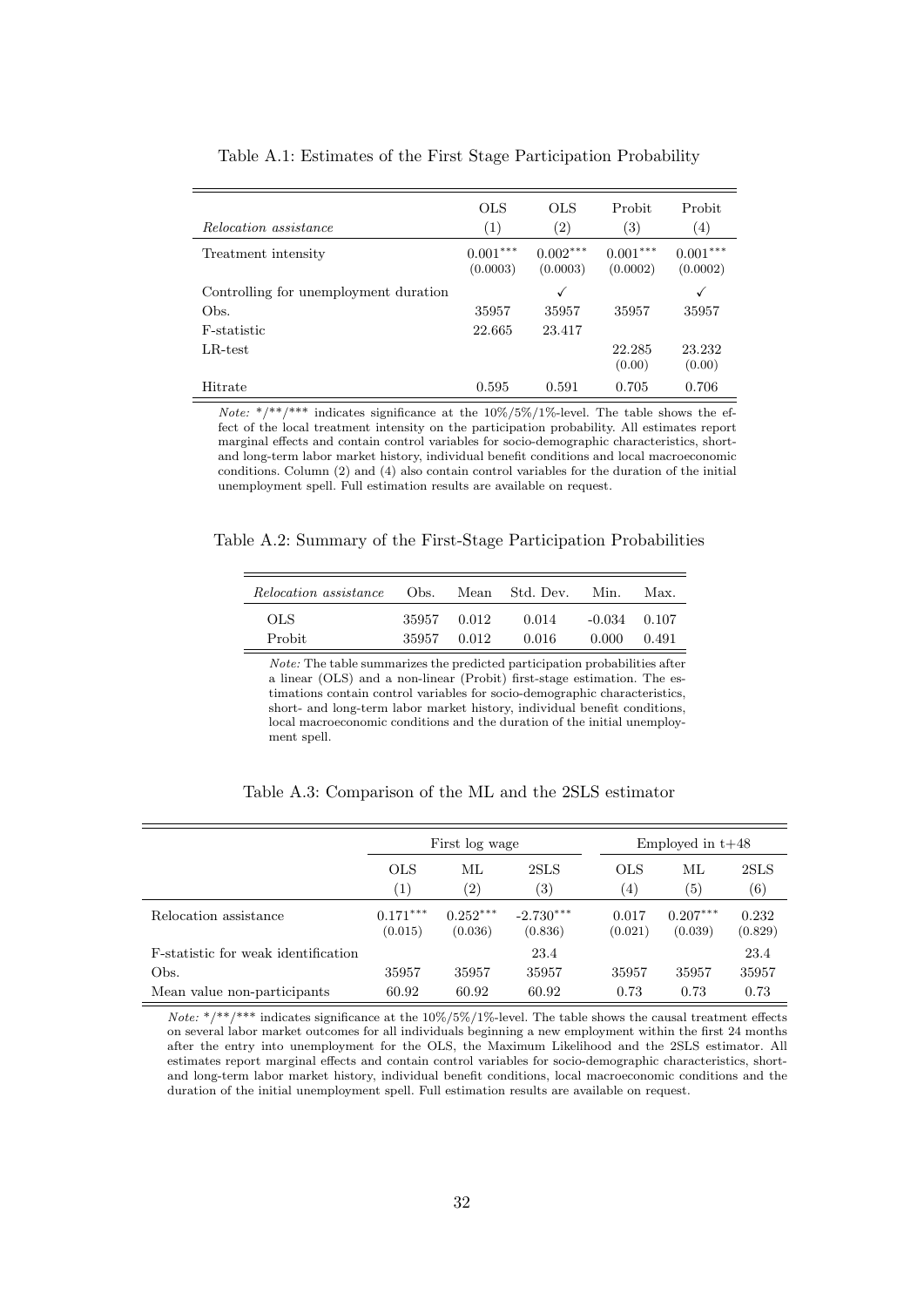| Relocation assistance                 | <b>OLS</b><br>(1)      | <b>OLS</b><br>$\left( 2\right)$ | Probit<br>(3)          | Probit<br>$\left( 4\right)$ |
|---------------------------------------|------------------------|---------------------------------|------------------------|-----------------------------|
| Treatment intensity                   | $0.001***$<br>(0.0003) | $0.002***$<br>(0.0003)          | $0.001***$<br>(0.0002) | $0.001***$<br>(0.0002)      |
| Controlling for unemployment duration |                        | ✓                               |                        | √                           |
| Obs.                                  | 35957                  | 35957                           | 35957                  | 35957                       |
| F-statistic                           | 22.665                 | 23.417                          |                        |                             |
| $LR$ -test                            |                        |                                 | 22.285<br>(0.00)       | 23.232<br>(0.00)            |
| Hitrate                               | 0.595                  | 0.591                           | 0.705                  | 0.706                       |

Table A.1: Estimates of the First Stage Participation Probability

Note: \*/\*\*/\*\*\* indicates significance at the  $10\%/5\%/1\%$ -level. The table shows the effect of the local treatment intensity on the participation probability. All estimates report marginal effects and contain control variables for socio-demographic characteristics, shortand long-term labor market history, individual benefit conditions and local macroeconomic conditions. Column (2) and (4) also contain control variables for the duration of the initial unemployment spell. Full estimation results are available on request.

Table A.2: Summary of the First-Stage Participation Probabilities

| <i>Relocation assistance</i> | Obs.                       | Mean | Std. Dev.      | Min.                    | Max.  |
|------------------------------|----------------------------|------|----------------|-------------------------|-------|
| OLS.<br>Probit               | 35957 0.012<br>35957 0.012 |      | 0.014<br>0.016 | $-0.034$ 0.107<br>0.000 | 0.491 |

Note: The table summarizes the predicted participation probabilities after a linear (OLS) and a non-linear (Probit) first-stage estimation. The estimations contain control variables for socio-demographic characteristics, short- and long-term labor market history, individual benefit conditions, local macroeconomic conditions and the duration of the initial unemployment spell.

|                                             |                                 | First log wage          |                           |                                | Employed in $t+48$    |                           |  |
|---------------------------------------------|---------------------------------|-------------------------|---------------------------|--------------------------------|-----------------------|---------------------------|--|
|                                             | <b>OLS</b><br>$\left( 1\right)$ | МL<br>$\left( 2\right)$ | 2SLS<br>$\left( 3\right)$ | <b>OLS</b><br>$\left(4\right)$ | ML<br>(5)             | 2SLS<br>$\left( 6\right)$ |  |
| Relocation assistance                       | $0.171***$<br>(0.015)           | $0.252***$<br>(0.036)   | $-2.730***$<br>(0.836)    | 0.017<br>(0.021)               | $0.207***$<br>(0.039) | 0.232<br>(0.829)          |  |
| <b>F</b> -statistic for weak identification |                                 |                         | 23.4                      |                                |                       | 23.4                      |  |
| Obs.                                        | 35957                           | 35957                   | 35957                     | 35957                          | 35957                 | 35957                     |  |
| Mean value non-participants                 | 60.92                           | 60.92                   | 60.92                     | 0.73                           | 0.73                  | 0.73                      |  |

Table A.3: Comparison of the ML and the 2SLS estimator

Note: \*/\*\*/\*\*\* indicates significance at the  $10\%/5\%/1\%$ -level. The table shows the causal treatment effects on several labor market outcomes for all individuals beginning a new employment within the first 24 months after the entry into unemployment for the OLS, the Maximum Likelihood and the 2SLS estimator. All estimates report marginal effects and contain control variables for socio-demographic characteristics, shortand long-term labor market history, individual benefit conditions, local macroeconomic conditions and the duration of the initial unemployment spell. Full estimation results are available on request.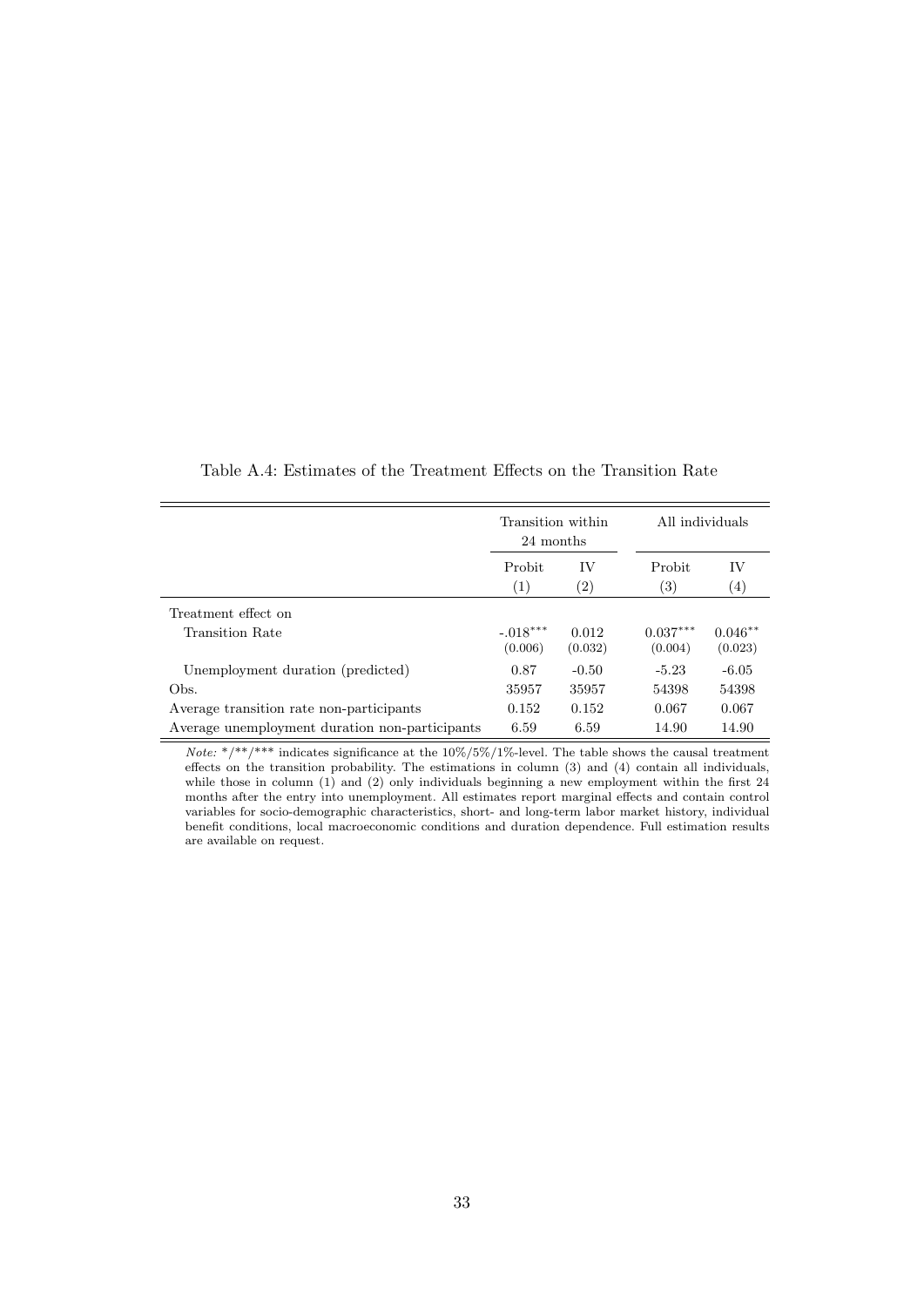|                                                | Transition within<br>24 months<br>Probit<br>IV |                   | All individuals       |                      |
|------------------------------------------------|------------------------------------------------|-------------------|-----------------------|----------------------|
|                                                |                                                |                   | Probit                | IV                   |
|                                                | (1)                                            | $\left( 2\right)$ | $\left( 3\right)$     | $\left(4\right)$     |
| Treatment effect on                            |                                                |                   |                       |                      |
| Transition Rate                                | $-.018***$<br>(0.006)                          | 0.012<br>(0.032)  | $0.037***$<br>(0.004) | $0.046**$<br>(0.023) |
| Unemployment duration (predicted)              | 0.87                                           | $-0.50$           | $-5.23$               | $-6.05$              |
| Obs.                                           | 35957                                          | 35957             | 54398                 | 54398                |
| Average transition rate non-participants       | 0.152                                          | 0.152             | 0.067                 | 0.067                |
| Average unemployment duration non-participants | 6.59                                           | 6.59              | 14.90                 | 14.90                |

Table A.4: Estimates of the Treatment Effects on the Transition Rate

Note: \*/\*\*/\*\*\* indicates significance at the  $10\%/5\%/1\%$ -level. The table shows the causal treatment effects on the transition probability. The estimations in column (3) and (4) contain all individuals, while those in column (1) and (2) only individuals beginning a new employment within the first 24 months after the entry into unemployment. All estimates report marginal effects and contain control variables for socio-demographic characteristics, short- and long-term labor market history, individual benefit conditions, local macroeconomic conditions and duration dependence. Full estimation results are available on request.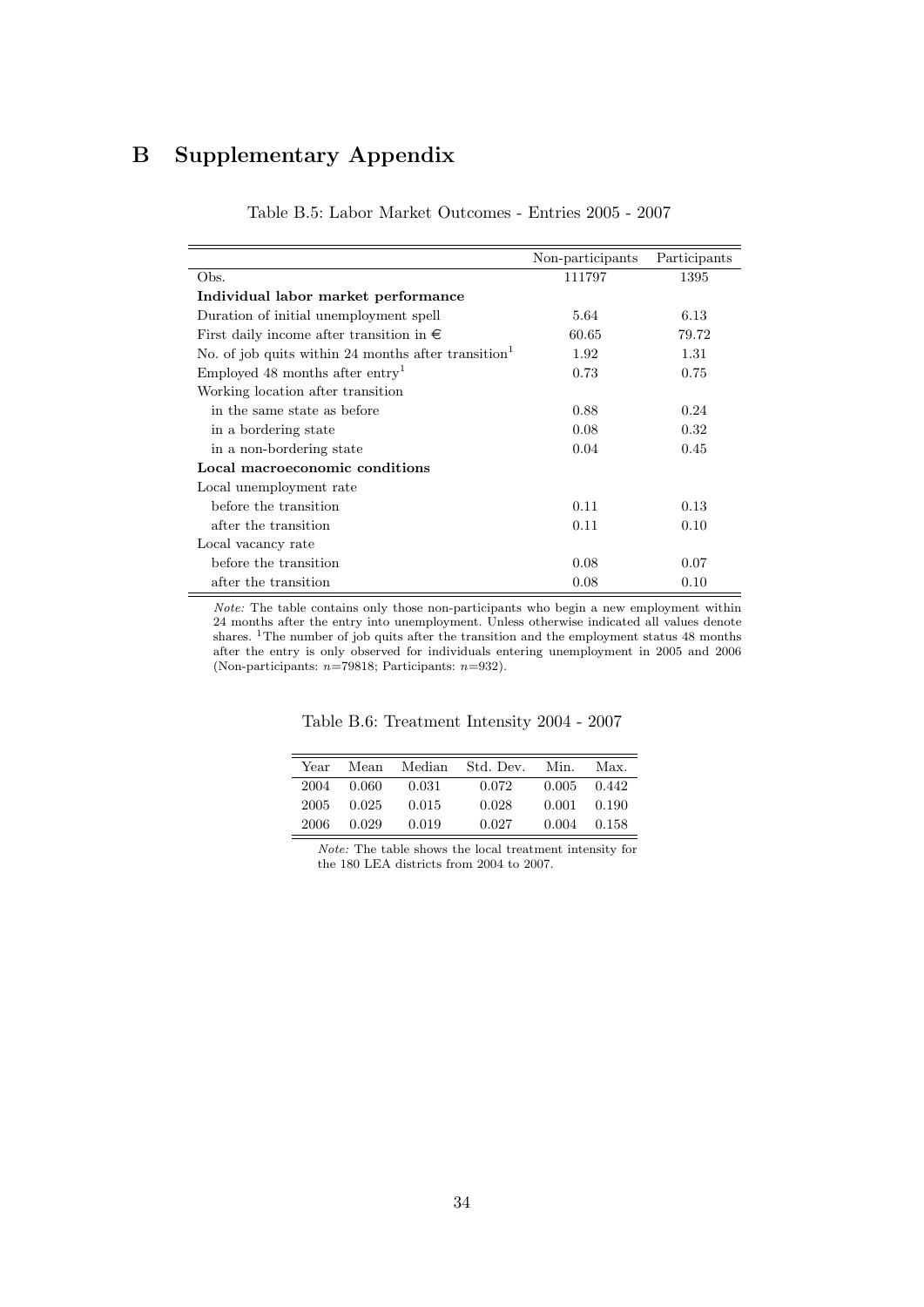# B Supplementary Appendix

|                                                                 | Non-participants | Participants |
|-----------------------------------------------------------------|------------------|--------------|
| Obs.                                                            | 111797           | 1395         |
| Individual labor market performance                             |                  |              |
| Duration of initial unemployment spell                          | 5.64             | 6.13         |
| First daily income after transition in $\in$                    | 60.65            | 79.72        |
| No. of job quits within 24 months after transition <sup>1</sup> | 1.92             | 1.31         |
| Employed 48 months after entry <sup>1</sup>                     | 0.73             | 0.75         |
| Working location after transition                               |                  |              |
| in the same state as before                                     | 0.88             | 0.24         |
| in a bordering state                                            | 0.08             | 0.32         |
| in a non-bordering state                                        | 0.04             | 0.45         |
| Local macroeconomic conditions                                  |                  |              |
| Local unemployment rate                                         |                  |              |
| before the transition                                           | 0.11             | 0.13         |
| after the transition                                            | 0.11             | 0.10         |
| Local vacancy rate                                              |                  |              |
| before the transition                                           | 0.08             | 0.07         |
| after the transition                                            | 0.08             | 0.10         |

Table B.5: Labor Market Outcomes - Entries 2005 - 2007

Note: The table contains only those non-participants who begin a new employment within 24 months after the entry into unemployment. Unless otherwise indicated all values denote shares. <sup>1</sup>The number of job quits after the transition and the employment status 48 months after the entry is only observed for individuals entering unemployment in 2005 and 2006 (Non-participants:  $n=79818$ ; Participants:  $n=932$ ).

Table B.6: Treatment Intensity 2004 - 2007

| Year | Mean  | Median | Std. Dev. | Min.  | Max.            |
|------|-------|--------|-----------|-------|-----------------|
| 2004 | 0.060 | 0.031  | 0.072     |       | $0.005$ $0.442$ |
| 2005 | 0.025 | 0.015  | 0.028     | 0.001 | 0.190           |
| 2006 | 0.029 | 0.019  | 0.027     | 0.004 | 0.158           |

Note: The table shows the local treatment intensity for the 180 LEA districts from 2004 to 2007.